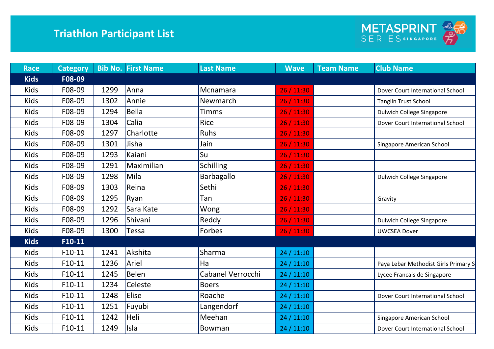

| <b>Race</b> | <b>Category</b> |      | <b>Bib No. First Name</b> | <b>Last Name</b>  | <b>Wave</b> | <b>Team Name</b> | <b>Club Name</b>                     |
|-------------|-----------------|------|---------------------------|-------------------|-------------|------------------|--------------------------------------|
| <b>Kids</b> | F08-09          |      |                           |                   |             |                  |                                      |
| <b>Kids</b> | F08-09          | 1299 | Anna                      | Mcnamara          | 26/11:30    |                  | Dover Court International School     |
| <b>Kids</b> | F08-09          | 1302 | Annie                     | Newmarch          | 26 / 11:30  |                  | <b>Tanglin Trust School</b>          |
| <b>Kids</b> | F08-09          | 1294 | <b>Bella</b>              | <b>Timms</b>      | 26 / 11:30  |                  | <b>Dulwich College Singapore</b>     |
| <b>Kids</b> | F08-09          | 1304 | Calia                     | Rice              | 26 / 11:30  |                  | Dover Court International School     |
| <b>Kids</b> | F08-09          | 1297 | Charlotte                 | Ruhs              | 26/11:30    |                  |                                      |
| <b>Kids</b> | F08-09          | 1301 | Jisha                     | Jain              | 26/11:30    |                  | Singapore American School            |
| <b>Kids</b> | F08-09          | 1293 | Kaiani                    | Su                | 26 / 11:30  |                  |                                      |
| <b>Kids</b> | F08-09          | 1291 | Maximilian                | <b>Schilling</b>  | 26 / 11:30  |                  |                                      |
| <b>Kids</b> | F08-09          | 1298 | Mila                      | Barbagallo        | 26/11:30    |                  | <b>Dulwich College Singapore</b>     |
| <b>Kids</b> | F08-09          | 1303 | Reina                     | Sethi             | 26/11:30    |                  |                                      |
| <b>Kids</b> | F08-09          | 1295 | Ryan                      | Tan               | 26/11:30    |                  | Gravity                              |
| <b>Kids</b> | F08-09          | 1292 | Sara Kate                 | Wong              | 26 / 11:30  |                  |                                      |
| <b>Kids</b> | F08-09          | 1296 | Shivani                   | Reddy             | 26 / 11:30  |                  | <b>Dulwich College Singapore</b>     |
| <b>Kids</b> | F08-09          | 1300 | Tessa                     | Forbes            | 26 / 11:30  |                  | <b>UWCSEA Dover</b>                  |
| <b>Kids</b> | $F10-11$        |      |                           |                   |             |                  |                                      |
| <b>Kids</b> | $F10-11$        | 1241 | Akshita                   | Sharma            | 24/11:10    |                  |                                      |
| <b>Kids</b> | $F10-11$        | 1236 | Ariel                     | Ha                | 24/11:10    |                  | Paya Lebar Methodist Girls Primary S |
| <b>Kids</b> | $F10-11$        | 1245 | <b>Belen</b>              | Cabanel Verrocchi | 24/11:10    |                  | Lycee Francais de Singapore          |
| <b>Kids</b> | $F10-11$        | 1234 | Celeste                   | <b>Boers</b>      | 24/11:10    |                  |                                      |
| <b>Kids</b> | $F10-11$        | 1248 | <b>Elise</b>              | Roache            | 24/11:10    |                  | Dover Court International School     |
| <b>Kids</b> | $F10-11$        | 1251 | Fuyubi                    | Langendorf        | 24/11:10    |                  |                                      |
| <b>Kids</b> | $F10-11$        | 1242 | Heli                      | Meehan            | 24/11:10    |                  | Singapore American School            |
| <b>Kids</b> | $F10-11$        | 1249 | Isla                      | Bowman            | 24/11:10    |                  | Dover Court International School     |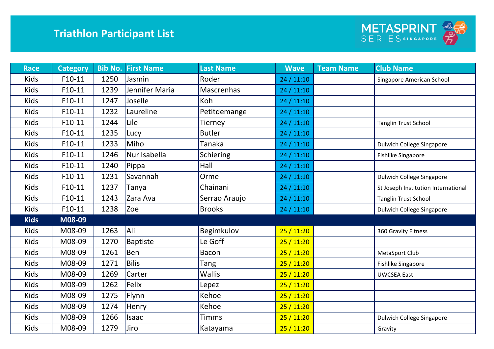

| <b>Race</b> | <b>Category</b> | <b>Bib No.</b> | <b>First Name</b> | <b>Last Name</b>  | <b>Wave</b> | <b>Team Name</b> | <b>Club Name</b>                    |
|-------------|-----------------|----------------|-------------------|-------------------|-------------|------------------|-------------------------------------|
| <b>Kids</b> | $F10-11$        | 1250           | Jasmin            | Roder             | 24/11:10    |                  | Singapore American School           |
| <b>Kids</b> | $F10-11$        | 1239           | Jennifer Maria    | <b>Mascrenhas</b> | 24 / 11:10  |                  |                                     |
| <b>Kids</b> | $F10-11$        | 1247           | Joselle           | Koh               | 24/11:10    |                  |                                     |
| <b>Kids</b> | $F10-11$        | 1232           | Laureline         | Petitdemange      | 24/11:10    |                  |                                     |
| <b>Kids</b> | $F10-11$        | 1244           | Lile              | <b>Tierney</b>    | 24/11:10    |                  | <b>Tanglin Trust School</b>         |
| <b>Kids</b> | $F10-11$        | 1235           | Lucy              | <b>Butler</b>     | 24 / 11:10  |                  |                                     |
| <b>Kids</b> | $F10-11$        | 1233           | Miho              | Tanaka            | 24/11:10    |                  | <b>Dulwich College Singapore</b>    |
| <b>Kids</b> | $F10-11$        | 1246           | Nur Isabella      | <b>Schiering</b>  | 24/11:10    |                  | <b>Fishlike Singapore</b>           |
| <b>Kids</b> | $F10-11$        | 1240           | Pippa             | Hall              | 24/11:10    |                  |                                     |
| <b>Kids</b> | $F10-11$        | 1231           | Savannah          | Orme              | 24/11:10    |                  | Dulwich College Singapore           |
| <b>Kids</b> | $F10-11$        | 1237           | Tanya             | Chainani          | 24/11:10    |                  | St Joseph Institution International |
| <b>Kids</b> | $F10-11$        | 1243           | Zara Ava          | Serrao Araujo     | 24/11:10    |                  | <b>Tanglin Trust School</b>         |
| <b>Kids</b> | $F10-11$        | 1238           | <b>Zoe</b>        | <b>Brooks</b>     | 24 / 11:10  |                  | <b>Dulwich College Singapore</b>    |
| <b>Kids</b> | M08-09          |                |                   |                   |             |                  |                                     |
| <b>Kids</b> | M08-09          | 1263           | Ali               | Begimkulov        | 25/11:20    |                  | 360 Gravity Fitness                 |
| <b>Kids</b> | M08-09          | 1270           | <b>Baptiste</b>   | Le Goff           | 25/11:20    |                  |                                     |
| <b>Kids</b> | M08-09          | 1261           | Ben               | <b>Bacon</b>      | 25/11:20    |                  | MetaSport Club                      |
| <b>Kids</b> | M08-09          | 1271           | <b>Bilis</b>      | Tang              | 25/11:20    |                  | <b>Fishlike Singapore</b>           |
| <b>Kids</b> | M08-09          | 1269           | Carter            | <b>Wallis</b>     | 25/11:20    |                  | <b>UWCSEA East</b>                  |
| <b>Kids</b> | M08-09          | 1262           | Felix             | Lepez             | 25/11:20    |                  |                                     |
| <b>Kids</b> | M08-09          | 1275           | Flynn             | Kehoe             | 25/11:20    |                  |                                     |
| <b>Kids</b> | M08-09          | 1274           | Henry             | Kehoe             | 25/11:20    |                  |                                     |
| Kids        | M08-09          | 1266           | Isaac             | <b>Timms</b>      | 25/11:20    |                  | <b>Dulwich College Singapore</b>    |
| <b>Kids</b> | M08-09          | 1279           | Jiro              | Katayama          | 25/11:20    |                  | Gravity                             |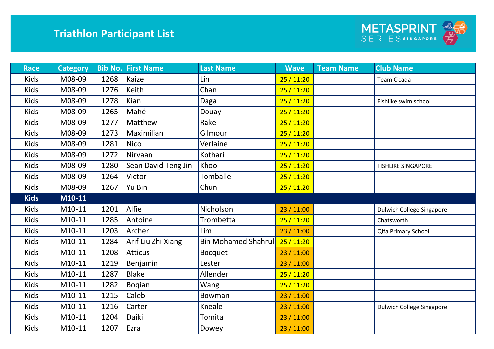

| <b>Race</b> | <b>Category</b> |      | <b>Bib No. First Name</b> | <b>Last Name</b>           | <b>Wave</b> | <b>Team Name</b> | <b>Club Name</b>                 |
|-------------|-----------------|------|---------------------------|----------------------------|-------------|------------------|----------------------------------|
| <b>Kids</b> | M08-09          | 1268 | Kaize                     | Lin                        | 25/11:20    |                  | Team Cicada                      |
| Kids        | M08-09          | 1276 | Keith                     | Chan                       | 25/11:20    |                  |                                  |
| Kids        | M08-09          | 1278 | Kian                      | Daga                       | 25/11:20    |                  | Fishlike swim school             |
| <b>Kids</b> | M08-09          | 1265 | Mahé                      | Douay                      | 25/11:20    |                  |                                  |
| Kids        | M08-09          | 1277 | Matthew                   | Rake                       | 25/11:20    |                  |                                  |
| <b>Kids</b> | M08-09          | 1273 | Maximilian                | Gilmour                    | 25/11:20    |                  |                                  |
| Kids        | M08-09          | 1281 | <b>Nico</b>               | Verlaine                   | 25/11:20    |                  |                                  |
| <b>Kids</b> | M08-09          | 1272 | Nirvaan                   | Kothari                    | 25/11:20    |                  |                                  |
| Kids        | M08-09          | 1280 | Sean David Teng Jin       | Khoo                       | 25/11:20    |                  | <b>FISHLIKE SINGAPORE</b>        |
| <b>Kids</b> | M08-09          | 1264 | Victor                    | Tomballe                   | 25/11:20    |                  |                                  |
| Kids        | M08-09          | 1267 | Yu Bin                    | Chun                       | 25 / 11:20  |                  |                                  |
| <b>Kids</b> | M10-11          |      |                           |                            |             |                  |                                  |
| Kids        | M10-11          | 1201 | Alfie                     | Nicholson                  | 23/11:00    |                  | Dulwich College Singapore        |
| <b>Kids</b> | M10-11          | 1285 | Antoine                   | Trombetta                  | 25/11:20    |                  | Chatsworth                       |
| Kids        | M10-11          | 1203 | Archer                    | Lim                        | 23/11:00    |                  | Qifa Primary School              |
| Kids        | M10-11          | 1284 | Arif Liu Zhi Xiang        | <b>Bin Mohamed Shahrul</b> | 25/11:20    |                  |                                  |
| Kids        | M10-11          | 1208 | <b>Atticus</b>            | <b>Bocquet</b>             | 23 / 11:00  |                  |                                  |
| Kids        | M10-11          | 1219 | Benjamin                  | Lester                     | 23 / 11:00  |                  |                                  |
| Kids        | M10-11          | 1287 | <b>Blake</b>              | Allender                   | 25/11:20    |                  |                                  |
| Kids        | M10-11          | 1282 | <b>Bogian</b>             | Wang                       | 25/11:20    |                  |                                  |
| Kids        | M10-11          | 1215 | Caleb                     | Bowman                     | 23/11:00    |                  |                                  |
| Kids        | M10-11          | 1216 | Carter                    | Kneale                     | 23/11:00    |                  | <b>Dulwich College Singapore</b> |
| <b>Kids</b> | M10-11          | 1204 | Daiki                     | Tomita                     | 23/11:00    |                  |                                  |
| <b>Kids</b> | M10-11          | 1207 | Ezra                      | Dowey                      | 23/11:00    |                  |                                  |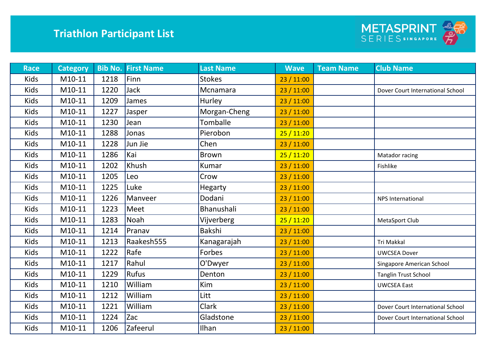

| <b>Race</b> | <b>Category</b> |      | <b>Bib No. First Name</b> | <b>Last Name</b> | <b>Wave</b> | <b>Team Name</b> | <b>Club Name</b>                 |
|-------------|-----------------|------|---------------------------|------------------|-------------|------------------|----------------------------------|
| <b>Kids</b> | M10-11          | 1218 | Finn                      | <b>Stokes</b>    | 23 / 11:00  |                  |                                  |
| <b>Kids</b> | M10-11          | 1220 | Jack                      | Mcnamara         | 23 / 11:00  |                  | Dover Court International School |
| Kids        | M10-11          | 1209 | James                     | Hurley           | 23 / 11:00  |                  |                                  |
| <b>Kids</b> | M10-11          | 1227 | Jasper                    | Morgan-Cheng     | 23 / 11:00  |                  |                                  |
| <b>Kids</b> | M10-11          | 1230 | Jean                      | Tomballe         | 23 / 11:00  |                  |                                  |
| <b>Kids</b> | M10-11          | 1288 | Jonas                     | Pierobon         | 25/11:20    |                  |                                  |
| <b>Kids</b> | M10-11          | 1228 | Jun Jie                   | Chen             | 23 / 11:00  |                  |                                  |
| Kids        | M10-11          | 1286 | Kai                       | <b>Brown</b>     | 25/11:20    |                  | Matador racing                   |
| Kids        | M10-11          | 1202 | Khush                     | Kumar            | 23 / 11:00  |                  | Fishlike                         |
| Kids        | M10-11          | 1205 | Leo                       | Crow             | 23 / 11:00  |                  |                                  |
| Kids        | M10-11          | 1225 | Luke                      | <b>Hegarty</b>   | 23 / 11:00  |                  |                                  |
| Kids        | M10-11          | 1226 | Manveer                   | Dodani           | 23 / 11:00  |                  | <b>NPS International</b>         |
| Kids        | M10-11          | 1223 | Meet                      | Bhanushali       | 23 / 11:00  |                  |                                  |
| Kids        | M10-11          | 1283 | Noah                      | Vijverberg       | 25/11:20    |                  | MetaSport Club                   |
| Kids        | M10-11          | 1214 | Pranav                    | Bakshi           | 23 / 11:00  |                  |                                  |
| Kids        | M10-11          | 1213 | Raakesh555                | Kanagarajah      | 23 / 11:00  |                  | Tri Makkal                       |
| Kids        | M10-11          | 1222 | Rafe                      | Forbes           | 23 / 11:00  |                  | <b>UWCSEA Dover</b>              |
| Kids        | M10-11          | 1217 | Rahul                     | O'Dwyer          | 23 / 11:00  |                  | Singapore American School        |
| Kids        | M10-11          | 1229 | Rufus                     | Denton           | 23 / 11:00  |                  | <b>Tanglin Trust School</b>      |
| Kids        | M10-11          | 1210 | William                   | Kim              | 23 / 11:00  |                  | <b>UWCSEA East</b>               |
| Kids        | M10-11          | 1212 | William                   | Litt             | 23/11:00    |                  |                                  |
| Kids        | M10-11          | 1221 | William                   | <b>Clark</b>     | 23 / 11:00  |                  | Dover Court International School |
| Kids        | M10-11          | 1224 | Zac                       | Gladstone        | 23 / 11:00  |                  | Dover Court International School |
| <b>Kids</b> | M10-11          | 1206 | Zafeerul                  | Ilhan            | 23/11:00    |                  |                                  |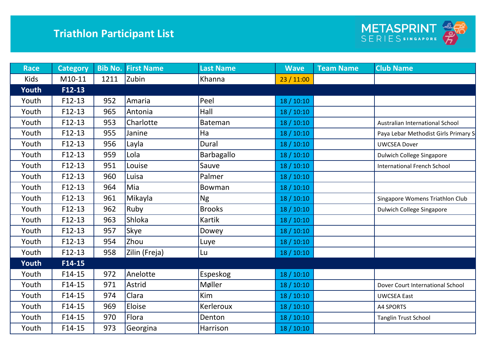

| <b>Race</b> | <b>Category</b> |      | <b>Bib No. First Name</b> | <b>Last Name</b> | <b>Wave</b> | <b>Team Name</b> | <b>Club Name</b>                     |
|-------------|-----------------|------|---------------------------|------------------|-------------|------------------|--------------------------------------|
| <b>Kids</b> | M10-11          | 1211 | Zubin                     | Khanna           | 23/11:00    |                  |                                      |
| Youth       | F12-13          |      |                           |                  |             |                  |                                      |
| Youth       | $F12-13$        | 952  | Amaria                    | Peel             | 18/10:10    |                  |                                      |
| Youth       | $F12-13$        | 965  | Antonia                   | Hall             | 18/10:10    |                  |                                      |
| Youth       | $F12-13$        | 953  | Charlotte                 | <b>Bateman</b>   | 18/10:10    |                  | Australian International School      |
| Youth       | $F12-13$        | 955  | Janine                    | Ha               | 18/10:10    |                  | Paya Lebar Methodist Girls Primary S |
| Youth       | $F12-13$        | 956  | Layla                     | Dural            | 18 / 10:10  |                  | <b>UWCSEA Dover</b>                  |
| Youth       | $F12-13$        | 959  | Lola                      | Barbagallo       | 18/10:10    |                  | <b>Dulwich College Singapore</b>     |
| Youth       | $F12-13$        | 951  | Louise                    | Sauve            | 18 / 10:10  |                  | <b>International French School</b>   |
| Youth       | $F12-13$        | 960  | Luisa                     | Palmer           | 18/10:10    |                  |                                      |
| Youth       | $F12-13$        | 964  | Mia                       | Bowman           | 18 / 10:10  |                  |                                      |
| Youth       | $F12-13$        | 961  | Mikayla                   | <b>Ng</b>        | 18/10:10    |                  | Singapore Womens Triathlon Club      |
| Youth       | $F12-13$        | 962  | Ruby                      | <b>Brooks</b>    | 18 / 10:10  |                  | <b>Dulwich College Singapore</b>     |
| Youth       | $F12-13$        | 963  | Shloka                    | <b>Kartik</b>    | 18/10:10    |                  |                                      |
| Youth       | $F12-13$        | 957  | Skye                      | Dowey            | 18 / 10:10  |                  |                                      |
| Youth       | $F12-13$        | 954  | Zhou                      | Luye             | 18/10:10    |                  |                                      |
| Youth       | $F12-13$        | 958  | Zilin (Freja)             | Lu               | 18/10:10    |                  |                                      |
| Youth       | F14-15          |      |                           |                  |             |                  |                                      |
| Youth       | $F14-15$        | 972  | Anelotte                  | <b>Espeskog</b>  | 18/10:10    |                  |                                      |
| Youth       | $F14-15$        | 971  | Astrid                    | Møller           | 18/10:10    |                  | Dover Court International School     |
| Youth       | $F14-15$        | 974  | Clara                     | <b>Kim</b>       | 18/10:10    |                  | <b>UWCSEA East</b>                   |
| Youth       | $F14-15$        | 969  | Eloise                    | Kerleroux        | 18/10:10    |                  | A4 SPORTS                            |
| Youth       | $F14-15$        | 970  | Flora                     | Denton           | 18/10:10    |                  | <b>Tanglin Trust School</b>          |
| Youth       | $F14-15$        | 973  | Georgina                  | Harrison         | 18/10:10    |                  |                                      |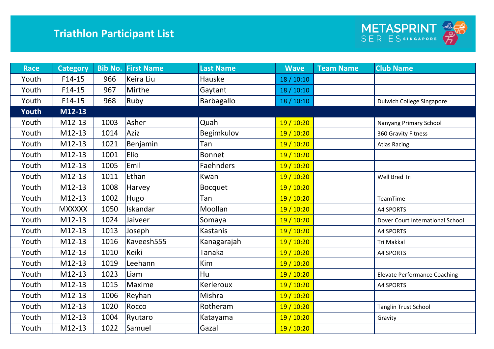

| <b>Race</b> | <b>Category</b> | <b>Bib No.</b> | <b>First Name</b> | <b>Last Name</b> | <b>Wave</b> | <b>Team Name</b> | <b>Club Name</b>                    |
|-------------|-----------------|----------------|-------------------|------------------|-------------|------------------|-------------------------------------|
| Youth       | $F14-15$        | 966            | Keira Liu         | Hauske           | 18 / 10:10  |                  |                                     |
| Youth       | $F14-15$        | 967            | Mirthe            | Gaytant          | 18 / 10:10  |                  |                                     |
| Youth       | $F14-15$        | 968            | Ruby              | Barbagallo       | 18/10:10    |                  | <b>Dulwich College Singapore</b>    |
| Youth       | M12-13          |                |                   |                  |             |                  |                                     |
| Youth       | M12-13          | 1003           | Asher             | Quah             | 19/10:20    |                  | Nanyang Primary School              |
| Youth       | M12-13          | 1014           | Aziz              | Begimkulov       | 19 / 10:20  |                  | 360 Gravity Fitness                 |
| Youth       | M12-13          | 1021           | Benjamin          | Tan              | 19 / 10:20  |                  | <b>Atlas Racing</b>                 |
| Youth       | M12-13          | 1001           | Elio              | <b>Bonnet</b>    | 19 / 10:20  |                  |                                     |
| Youth       | M12-13          | 1005           | Emil              | <b>Faehnders</b> | 19 / 10:20  |                  |                                     |
| Youth       | M12-13          | 1011           | Ethan             | Kwan             | 19 / 10:20  |                  | Well Bred Tri                       |
| Youth       | M12-13          | 1008           | Harvey            | <b>Bocquet</b>   | 19 / 10:20  |                  |                                     |
| Youth       | M12-13          | 1002           | Hugo              | Tan              | 19 / 10:20  |                  | TeamTime                            |
| Youth       | <b>MXXXXX</b>   | 1050           | Iskandar          | Moollan          | 19 / 10:20  |                  | <b>A4 SPORTS</b>                    |
| Youth       | M12-13          | 1024           | Jaiveer           | Somaya           | 19 / 10:20  |                  | Dover Court International School    |
| Youth       | M12-13          | 1013           | Joseph            | <b>Kastanis</b>  | 19 / 10:20  |                  | A4 SPORTS                           |
| Youth       | M12-13          | 1016           | Kaveesh555        | Kanagarajah      | 19 / 10:20  |                  | Tri Makkal                          |
| Youth       | M12-13          | 1010           | Keiki             | Tanaka           | 19 / 10:20  |                  | A4 SPORTS                           |
| Youth       | M12-13          | 1019           | Leehann           | Kim              | 19 / 10:20  |                  |                                     |
| Youth       | M12-13          | 1023           | Liam              | Hu               | 19 / 10:20  |                  | <b>Elevate Performance Coaching</b> |
| Youth       | M12-13          | 1015           | Maxime            | Kerleroux        | 19 / 10:20  |                  | A4 SPORTS                           |
| Youth       | M12-13          | 1006           | Reyhan            | Mishra           | 19 / 10:20  |                  |                                     |
| Youth       | M12-13          | 1020           | Rocco             | Rotheram         | 19 / 10:20  |                  | <b>Tanglin Trust School</b>         |
| Youth       | M12-13          | 1004           | Ryutaro           | Katayama         | 19 / 10:20  |                  | Gravity                             |
| Youth       | M12-13          | 1022           | Samuel            | Gazal            | 19 / 10:20  |                  |                                     |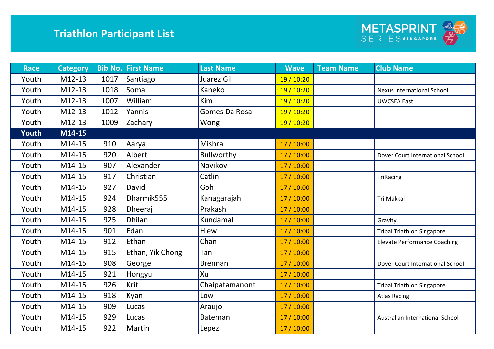

| <b>Race</b> | <b>Category</b> |      | <b>Bib No. First Name</b> | <b>Last Name</b> | <b>Wave</b> | <b>Team Name</b> | <b>Club Name</b>                    |
|-------------|-----------------|------|---------------------------|------------------|-------------|------------------|-------------------------------------|
| Youth       | M12-13          | 1017 | Santiago                  | Juarez Gil       | 19 / 10:20  |                  |                                     |
| Youth       | M12-13          | 1018 | Soma                      | Kaneko           | 19 / 10:20  |                  | <b>Nexus International School</b>   |
| Youth       | M12-13          | 1007 | William                   | Kim              | 19 / 10:20  |                  | <b>UWCSEA East</b>                  |
| Youth       | M12-13          | 1012 | Yannis                    | Gomes Da Rosa    | 19 / 10:20  |                  |                                     |
| Youth       | M12-13          | 1009 | Zachary                   | Wong             | 19 / 10:20  |                  |                                     |
| Youth       | M14-15          |      |                           |                  |             |                  |                                     |
| Youth       | M14-15          | 910  | Aarya                     | Mishra           | 17/10:00    |                  |                                     |
| Youth       | M14-15          | 920  | Albert                    | Bullworthy       | 17/10:00    |                  | Dover Court International School    |
| Youth       | M14-15          | 907  | Alexander                 | Novikov          | 17 / 10:00  |                  |                                     |
| Youth       | M14-15          | 917  | Christian                 | Catlin           | 17/10:00    |                  | TriRacing                           |
| Youth       | M14-15          | 927  | David                     | Goh              | 17 / 10:00  |                  |                                     |
| Youth       | M14-15          | 924  | Dharmik555                | Kanagarajah      | 17/10:00    |                  | Tri Makkal                          |
| Youth       | M14-15          | 928  | Dheeraj                   | Prakash          | 17/10:00    |                  |                                     |
| Youth       | M14-15          | 925  | <b>Dhilan</b>             | Kundamal         | 17/10:00    |                  | Gravity                             |
| Youth       | M14-15          | 901  | Edan                      | Hiew             | 17 / 10:00  |                  | <b>Tribal Triathlon Singapore</b>   |
| Youth       | M14-15          | 912  | Ethan                     | Chan             | 17/10:00    |                  | <b>Elevate Performance Coaching</b> |
| Youth       | M14-15          | 915  | Ethan, Yik Chong          | Tan              | 17/10:00    |                  |                                     |
| Youth       | M14-15          | 908  | George                    | <b>Brennan</b>   | 17/10:00    |                  | Dover Court International School    |
| Youth       | M14-15          | 921  | Hongyu                    | Xu               | 17/10:00    |                  |                                     |
| Youth       | M14-15          | 926  | Krit                      | Chaipatamanont   | 17 / 10:00  |                  | <b>Tribal Triathlon Singapore</b>   |
| Youth       | M14-15          | 918  | Kyan                      | Low              | 17/10:00    |                  | <b>Atlas Racing</b>                 |
| Youth       | M14-15          | 909  | Lucas                     | Araujo           | 17/10:00    |                  |                                     |
| Youth       | M14-15          | 929  | Lucas                     | Bateman          | 17/10:00    |                  | Australian International School     |
| Youth       | M14-15          | 922  | Martin                    | Lepez            | 17/10:00    |                  |                                     |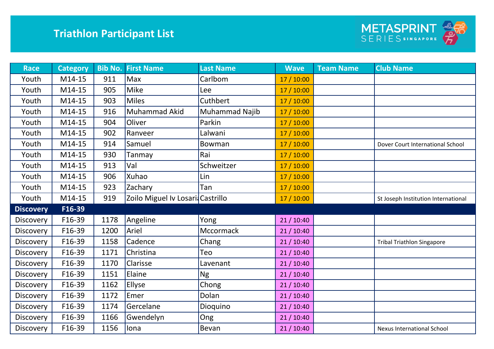

| <b>Race</b>      | <b>Category</b> |      | <b>Bib No. First Name</b>        | <b>Last Name</b> | <b>Wave</b> | <b>Team Name</b> | <b>Club Name</b>                    |
|------------------|-----------------|------|----------------------------------|------------------|-------------|------------------|-------------------------------------|
| Youth            | M14-15          | 911  | Max                              | Carlbom          | 17 / 10:00  |                  |                                     |
| Youth            | M14-15          | 905  | <b>Mike</b>                      | Lee              | 17 / 10:00  |                  |                                     |
| Youth            | M14-15          | 903  | <b>Miles</b>                     | Cuthbert         | 17 / 10:00  |                  |                                     |
| Youth            | M14-15          | 916  | Muhammad Akid                    | Muhammad Najib   | 17 / 10:00  |                  |                                     |
| Youth            | M14-15          | 904  | Oliver                           | Parkin           | 17 / 10:00  |                  |                                     |
| Youth            | M14-15          | 902  | Ranveer                          | Lalwani          | 17 / 10:00  |                  |                                     |
| Youth            | M14-15          | 914  | Samuel                           | <b>Bowman</b>    | 17 / 10:00  |                  | Dover Court International School    |
| Youth            | M14-15          | 930  | Tanmay                           | Rai              | 17 / 10:00  |                  |                                     |
| Youth            | M14-15          | 913  | Val                              | Schweitzer       | 17 / 10:00  |                  |                                     |
| Youth            | M14-15          | 906  | Xuhao                            | Lin              | 17 / 10:00  |                  |                                     |
| Youth            | M14-15          | 923  | Zachary                          | Tan              | 17 / 10:00  |                  |                                     |
| Youth            | M14-15          | 919  | Zoilo Miguel Iv Losari Castrillo |                  | 17 / 10:00  |                  | St Joseph Institution International |
| <b>Discovery</b> | F16-39          |      |                                  |                  |             |                  |                                     |
| Discovery        | F16-39          | 1178 | Angeline                         | Yong             | 21 / 10:40  |                  |                                     |
| <b>Discovery</b> | F16-39          | 1200 | Ariel                            | <b>Mccormack</b> | 21/10:40    |                  |                                     |
| Discovery        | F16-39          | 1158 | Cadence                          | Chang            | 21/10:40    |                  | <b>Tribal Triathlon Singapore</b>   |
| <b>Discovery</b> | F16-39          | 1171 | Christina                        | Teo              | 21/10:40    |                  |                                     |
| Discovery        | F16-39          | 1170 | Clarisse                         | Lavenant         | 21/10:40    |                  |                                     |
| <b>Discovery</b> | F16-39          | 1151 | Elaine                           | <b>Ng</b>        | 21/10:40    |                  |                                     |
| Discovery        | F16-39          | 1162 | Ellyse                           | Chong            | 21/10:40    |                  |                                     |
| <b>Discovery</b> | F16-39          | 1172 | Emer                             | Dolan            | 21/10:40    |                  |                                     |
| Discovery        | F16-39          | 1174 | Gercelane                        | Dioquino         | 21/10:40    |                  |                                     |
| Discovery        | F16-39          | 1166 | Gwendelyn                        | Ong              | 21/10:40    |                  |                                     |
| <b>Discovery</b> | F16-39          | 1156 | lona                             | Bevan            | 21 / 10:40  |                  | <b>Nexus International School</b>   |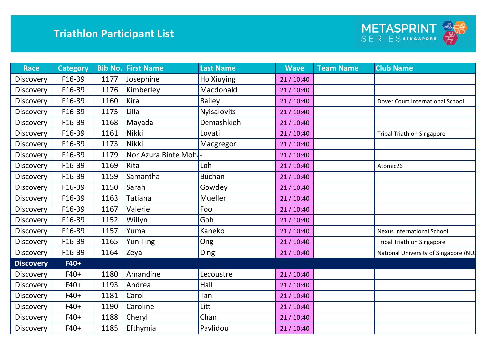

| <b>Race</b>      | <b>Category</b> | <b>Bib No.</b> | <b>First Name</b>   | <b>Last Name</b>   | <b>Wave</b> | <b>Team Name</b> | <b>Club Name</b>                     |
|------------------|-----------------|----------------|---------------------|--------------------|-------------|------------------|--------------------------------------|
| <b>Discovery</b> | F16-39          | 1177           | Josephine           | Ho Xiuying         | 21/10:40    |                  |                                      |
| <b>Discovery</b> | F16-39          | 1176           | Kimberley           | Macdonald          | 21/10:40    |                  |                                      |
| <b>Discovery</b> | F16-39          | 1160           | Kira                | <b>Bailey</b>      | 21/10:40    |                  | Dover Court International School     |
| Discovery        | F16-39          | 1175           | Lilla               | <b>Nyisalovits</b> | 21/10:40    |                  |                                      |
| <b>Discovery</b> | F16-39          | 1168           | Mayada              | Demashkieh         | 21/10:40    |                  |                                      |
| <b>Discovery</b> | F16-39          | 1161           | Nikki               | Lovati             | 21/10:40    |                  | <b>Tribal Triathlon Singapore</b>    |
| <b>Discovery</b> | F16-39          | 1173           | Nikki               | Macgregor          | 21/10:40    |                  |                                      |
| <b>Discovery</b> | F16-39          | 1179           | Nor Azura Binte Moh |                    | 21/10:40    |                  |                                      |
| <b>Discovery</b> | F16-39          | 1169           | Rita                | Loh                | 21/10:40    |                  | Atomic26                             |
| <b>Discovery</b> | F16-39          | 1159           | Samantha            | <b>Buchan</b>      | 21/10:40    |                  |                                      |
| <b>Discovery</b> | F16-39          | 1150           | Sarah               | Gowdey             | 21/10:40    |                  |                                      |
| <b>Discovery</b> | F16-39          | 1163           | Tatiana             | Mueller            | 21/10:40    |                  |                                      |
| <b>Discovery</b> | F16-39          | 1167           | Valerie             | Foo                | 21/10:40    |                  |                                      |
| <b>Discovery</b> | F16-39          | 1152           | Willyn              | Goh                | 21/10:40    |                  |                                      |
| <b>Discovery</b> | F16-39          | 1157           | Yuma                | Kaneko             | 21/10:40    |                  | <b>Nexus International School</b>    |
| <b>Discovery</b> | F16-39          | 1165           | <b>Yun Ting</b>     | Ong                | 21/10:40    |                  | <b>Tribal Triathlon Singapore</b>    |
| Discovery        | F16-39          | 1164           | Zeya                | Ding               | 21/10:40    |                  | National University of Singapore (NU |
| <b>Discovery</b> | $F40+$          |                |                     |                    |             |                  |                                      |
| Discovery        | $F40+$          | 1180           | Amandine            | Lecoustre          | 21/10:40    |                  |                                      |
| <b>Discovery</b> | $F40+$          | 1193           | Andrea              | Hall               | 21/10:40    |                  |                                      |
| <b>Discovery</b> | $F40+$          | 1181           | Carol               | Tan                | 21/10:40    |                  |                                      |
| Discovery        | $F40+$          | 1190           | Caroline            | Litt               | 21/10:40    |                  |                                      |
| <b>Discovery</b> | $F40+$          | 1188           | Cheryl              | Chan               | 21/10:40    |                  |                                      |
| Discovery        | $F40+$          | 1185           | Efthymia            | Pavlidou           | 21/10:40    |                  |                                      |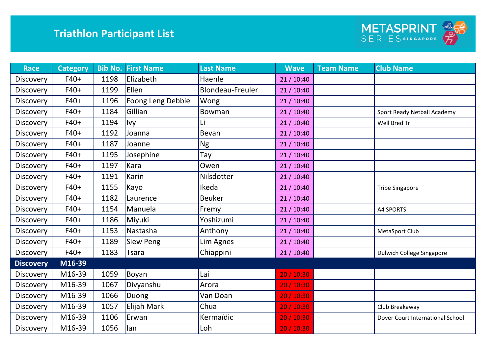

| <b>Race</b>      | <b>Category</b> | <b>Bib No.</b> | <b>First Name</b> | <b>Last Name</b> | <b>Wave</b> | <b>Team Name</b> | <b>Club Name</b>                 |
|------------------|-----------------|----------------|-------------------|------------------|-------------|------------------|----------------------------------|
| Discovery        | $F40+$          | 1198           | Elizabeth         | Haenle           | 21/10:40    |                  |                                  |
| <b>Discovery</b> | $F40+$          | 1199           | Ellen             | Blondeau-Freuler | 21/10:40    |                  |                                  |
| <b>Discovery</b> | $F40+$          | 1196           | Foong Leng Debbie | Wong             | 21/10:40    |                  |                                  |
| Discovery        | $F40+$          | 1184           | Gillian           | Bowman           | 21/10:40    |                  | Sport Ready Netball Academy      |
| <b>Discovery</b> | $F40+$          | 1194           | Ivy               | Li               | 21/10:40    |                  | Well Bred Tri                    |
| <b>Discovery</b> | $F40+$          | 1192           | Joanna            | Bevan            | 21/10:40    |                  |                                  |
| <b>Discovery</b> | $F40+$          | 1187           | Joanne            | <b>Ng</b>        | 21/10:40    |                  |                                  |
| <b>Discovery</b> | $F40+$          | 1195           | Josephine         | Tay              | 21/10:40    |                  |                                  |
| <b>Discovery</b> | $F40+$          | 1197           | Kara              | Owen             | 21/10:40    |                  |                                  |
| Discovery        | $F40+$          | 1191           | Karin             | Nilsdotter       | 21/10:40    |                  |                                  |
| <b>Discovery</b> | $F40+$          | 1155           | Kayo              | Ikeda            | 21/10:40    |                  | <b>Tribe Singapore</b>           |
| Discovery        | $F40+$          | 1182           | Laurence          | <b>Beuker</b>    | 21/10:40    |                  |                                  |
| <b>Discovery</b> | $F40+$          | 1154           | Manuela           | Fremy            | 21/10:40    |                  | <b>A4 SPORTS</b>                 |
| Discovery        | $F40+$          | 1186           | Miyuki            | Yoshizumi        | 21/10:40    |                  |                                  |
| <b>Discovery</b> | $F40+$          | 1153           | Nastasha          | Anthony          | 21/10:40    |                  | MetaSport Club                   |
| <b>Discovery</b> | $F40+$          | 1189           | Siew Peng         | Lim Agnes        | 21/10:40    |                  |                                  |
| Discovery        | $F40+$          | 1183           | Tsara             | Chiappini        | 21/10:40    |                  | <b>Dulwich College Singapore</b> |
| <b>Discovery</b> | M16-39          |                |                   |                  |             |                  |                                  |
| <b>Discovery</b> | M16-39          | 1059           | Boyan             | Lai              | 20 / 10:30  |                  |                                  |
| Discovery        | M16-39          | 1067           | Divyanshu         | Arora            | 20 / 10:30  |                  |                                  |
| <b>Discovery</b> | M16-39          | 1066           | Duong             | Van Doan         | 20 / 10:30  |                  |                                  |
| <b>Discovery</b> | M16-39          | 1057           | Elijah Mark       | Chua             | 20 / 10:30  |                  | Club Breakaway                   |
| <b>Discovery</b> | M16-39          | 1106           | Erwan             | Kermaïdic        | 20 / 10:30  |                  | Dover Court International School |
| Discovery        | M16-39          | 1056           | lan               | Loh              | 20 / 10:30  |                  |                                  |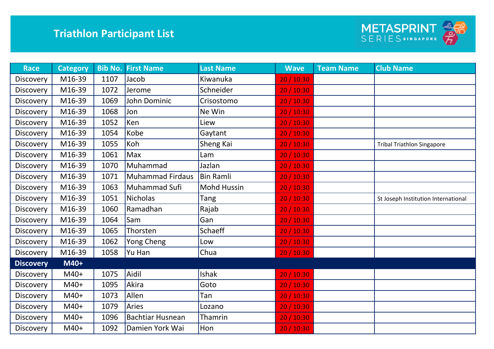

| <b>Race</b>      | <b>Category</b> |      | <b>Bib No. First Name</b> | <b>Last Name</b>   | <b>Wave</b> | <b>Team Name</b> | <b>Club Name</b>                    |
|------------------|-----------------|------|---------------------------|--------------------|-------------|------------------|-------------------------------------|
| <b>Discovery</b> | M16-39          | 1107 | Jacob                     | Kiwanuka           | 20 / 10:30  |                  |                                     |
| <b>Discovery</b> | M16-39          | 1072 | Jerome                    | Schneider          | 20 / 10:30  |                  |                                     |
| <b>Discovery</b> | M16-39          | 1069 | John Dominic              | Crisostomo         | 20 / 10:30  |                  |                                     |
| Discovery        | M16-39          | 1068 | Jon                       | Ne Win             | 20 / 10:30  |                  |                                     |
| <b>Discovery</b> | M16-39          | 1052 | Ken                       | Liew               | 20 / 10:30  |                  |                                     |
| Discovery        | M16-39          | 1054 | Kobe                      | Gaytant            | 20 / 10:30  |                  |                                     |
| Discovery        | M16-39          | 1055 | Koh                       | Sheng Kai          | 20 / 10:30  |                  | <b>Tribal Triathlon Singapore</b>   |
| <b>Discovery</b> | M16-39          | 1061 | Max                       | Lam                | 20 / 10:30  |                  |                                     |
| <b>Discovery</b> | M16-39          | 1070 | Muhammad                  | Jazlan             | 20 / 10:30  |                  |                                     |
| Discovery        | M16-39          | 1071 | <b>Muhammad Firdaus</b>   | <b>Bin Ramli</b>   | 20 / 10:30  |                  |                                     |
| <b>Discovery</b> | M16-39          | 1063 | Muhammad Sufi             | <b>Mohd Hussin</b> | 20 / 10:30  |                  |                                     |
| Discovery        | M16-39          | 1051 | <b>Nicholas</b>           | Tang               | 20 / 10:30  |                  | St Joseph Institution International |
| <b>Discovery</b> | M16-39          | 1060 | Ramadhan                  | Rajab              | 20 / 10:30  |                  |                                     |
| Discovery        | M16-39          | 1064 | Sam                       | Gan                | 20 / 10:30  |                  |                                     |
| <b>Discovery</b> | M16-39          | 1065 | Thorsten                  | <b>Schaeff</b>     | 20 / 10:30  |                  |                                     |
| <b>Discovery</b> | M16-39          | 1062 | Yong Cheng                | Low                | 20 / 10:30  |                  |                                     |
| <b>Discovery</b> | M16-39          | 1058 | Yu Han                    | Chua               | 20/10:30    |                  |                                     |
| <b>Discovery</b> | M40+            |      |                           |                    |             |                  |                                     |
| <b>Discovery</b> | $M40+$          | 1075 | Aidil                     | <b>Ishak</b>       | 20 / 10:30  |                  |                                     |
| Discovery        | M40+            | 1095 | Akira                     | Goto               | 20 / 10:30  |                  |                                     |
| <b>Discovery</b> | $M40+$          | 1073 | Allen                     | Tan                | 20 / 10:30  |                  |                                     |
| <b>Discovery</b> | $M40+$          | 1079 | Aries                     | Lozano             | 20 / 10:30  |                  |                                     |
| <b>Discovery</b> | M40+            | 1096 | <b>Bachtiar Husnean</b>   | Thamrin            | 20 / 10:30  |                  |                                     |
| Discovery        | M40+            | 1092 | Damien York Wai           | Hon                | 20 / 10:30  |                  |                                     |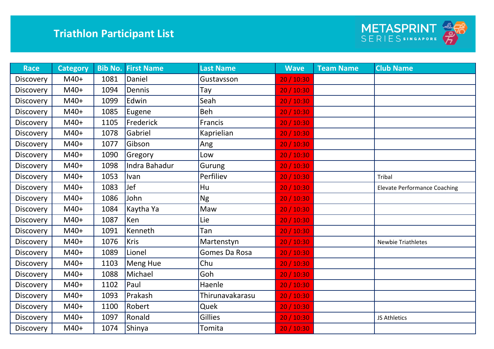

| <b>Race</b>      | <b>Category</b> | <b>Bib No.</b> | <b>First Name</b> | <b>Last Name</b> | <b>Wave</b> | <b>Team Name</b> | <b>Club Name</b>                    |
|------------------|-----------------|----------------|-------------------|------------------|-------------|------------------|-------------------------------------|
| <b>Discovery</b> | $M40+$          | 1081           | Daniel            | Gustavsson       | 20 / 10:30  |                  |                                     |
| <b>Discovery</b> | $M40+$          | 1094           | Dennis            | Tay              | 20 / 10:30  |                  |                                     |
| Discovery        | $M40+$          | 1099           | Edwin             | Seah             | 20 / 10:30  |                  |                                     |
| Discovery        | $M40+$          | 1085           | Eugene            | Beh              | 20 / 10:30  |                  |                                     |
| <b>Discovery</b> | $M40+$          | 1105           | Frederick         | Francis          | 20/10:30    |                  |                                     |
| Discovery        | $M40+$          | 1078           | Gabriel           | Kaprielian       | 20 / 10:30  |                  |                                     |
| <b>Discovery</b> | $M40+$          | 1077           | Gibson            | Ang              | 20 / 10:30  |                  |                                     |
| Discovery        | $M40+$          | 1090           | Gregory           | Low              | 20 / 10:30  |                  |                                     |
| Discovery        | $M40+$          | 1098           | Indra Bahadur     | Gurung           | 20 / 10:30  |                  |                                     |
| Discovery        | $M40+$          | 1053           | Ivan              | Perfiliev        | 20 / 10:30  |                  | Tribal                              |
| Discovery        | $M40+$          | 1083           | Jef               | Hu               | 20 / 10:30  |                  | <b>Elevate Performance Coaching</b> |
| <b>Discovery</b> | $M40+$          | 1086           | John              | <b>Ng</b>        | 20 / 10:30  |                  |                                     |
| Discovery        | $M40+$          | 1084           | Kaytha Ya         | Maw              | 20 / 10:30  |                  |                                     |
| Discovery        | $M40+$          | 1087           | Ken               | Lie              | 20 / 10:30  |                  |                                     |
| <b>Discovery</b> | $M40+$          | 1091           | Kenneth           | Tan              | 20 / 10:30  |                  |                                     |
| Discovery        | $M40+$          | 1076           | <b>Kris</b>       | Martenstyn       | 20 / 10:30  |                  | <b>Newbie Triathletes</b>           |
| <b>Discovery</b> | $M40+$          | 1089           | Lionel            | Gomes Da Rosa    | 20 / 10:30  |                  |                                     |
| Discovery        | $M40+$          | 1103           | Meng Hue          | Chu              | 20 / 10:30  |                  |                                     |
| Discovery        | $M40+$          | 1088           | Michael           | Goh              | 20 / 10:30  |                  |                                     |
| Discovery        | $M40+$          | 1102           | Paul              | Haenle           | 20 / 10:30  |                  |                                     |
| Discovery        | $M40+$          | 1093           | Prakash           | Thirunavakarasu  | 20 / 10:30  |                  |                                     |
| Discovery        | $M40+$          | 1100           | Robert            | Quek             | 20 / 10:30  |                  |                                     |
| <b>Discovery</b> | $M40+$          | 1097           | Ronald            | Gillies          | 20 / 10:30  |                  | JS Athletics                        |
| Discovery        | $M40+$          | 1074           | <b>Shinya</b>     | Tomita           | 20 / 10:30  |                  |                                     |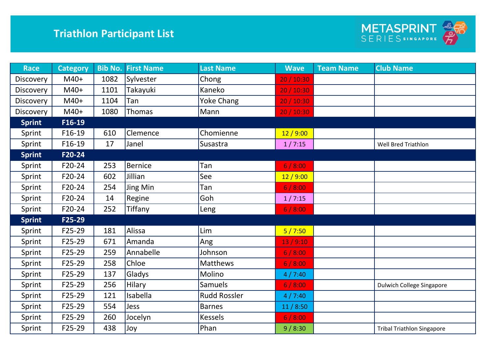

| <b>Race</b>      | <b>Category</b> | <b>Bib No.</b> | <b>First Name</b> | <b>Last Name</b>    | <b>Wave</b> | <b>Team Name</b> | <b>Club Name</b>                  |
|------------------|-----------------|----------------|-------------------|---------------------|-------------|------------------|-----------------------------------|
| Discovery        | $M40+$          | 1082           | Sylvester         | Chong               | 20 / 10:30  |                  |                                   |
| Discovery        | M40+            | 1101           | Takayuki          | Kaneko              | 20 / 10:30  |                  |                                   |
| <b>Discovery</b> | $M40+$          | 1104           | Tan               | <b>Yoke Chang</b>   | 20 / 10:30  |                  |                                   |
| Discovery        | $M40+$          | 1080           | Thomas            | Mann                | 20 / 10:30  |                  |                                   |
| <b>Sprint</b>    | F16-19          |                |                   |                     |             |                  |                                   |
| Sprint           | F16-19          | 610            | Clemence          | Chomienne           | 12/9:00     |                  |                                   |
| Sprint           | F16-19          | 17             | Janel             | Susastra            | 1/7:15      |                  | Well Bred Triathlon               |
| <b>Sprint</b>    | F20-24          |                |                   |                     |             |                  |                                   |
| Sprint           | F20-24          | 253            | Bernice           | Tan                 | 6/8:00      |                  |                                   |
| Sprint           | F20-24          | 602            | Jillian           | See                 | 12/9:00     |                  |                                   |
| Sprint           | F20-24          | 254            | Jing Min          | Tan                 | 6/8:00      |                  |                                   |
| Sprint           | F20-24          | 14             | Regine            | Goh                 | 1/7:15      |                  |                                   |
| Sprint           | F20-24          | 252            | Tiffany           | Leng                | 6/8:00      |                  |                                   |
| <b>Sprint</b>    | F25-29          |                |                   |                     |             |                  |                                   |
| Sprint           | F25-29          | 181            | Alissa            | Lim                 | 5/7:50      |                  |                                   |
| Sprint           | F25-29          | 671            | Amanda            | Ang                 | 13/9:10     |                  |                                   |
| Sprint           | F25-29          | 259            | Annabelle         | Johnson             | 6/8:00      |                  |                                   |
| Sprint           | F25-29          | 258            | Chloe             | <b>Matthews</b>     | 6/8:00      |                  |                                   |
| Sprint           | F25-29          | 137            | Gladys            | Molino              | 4/7:40      |                  |                                   |
| Sprint           | F25-29          | 256            | Hilary            | <b>Samuels</b>      | 6/8:00      |                  | Dulwich College Singapore         |
| Sprint           | F25-29          | 121            | Isabella          | <b>Rudd Rossler</b> | 4/7:40      |                  |                                   |
| Sprint           | F25-29          | 554            | <b>Jess</b>       | <b>Barnes</b>       | 11/8:50     |                  |                                   |
| Sprint           | F25-29          | 260            | Jocelyn           | <b>Kessels</b>      | 6/8:00      |                  |                                   |
| Sprint           | F25-29          | 438            | Joy               | Phan                | 9/8:30      |                  | <b>Tribal Triathlon Singapore</b> |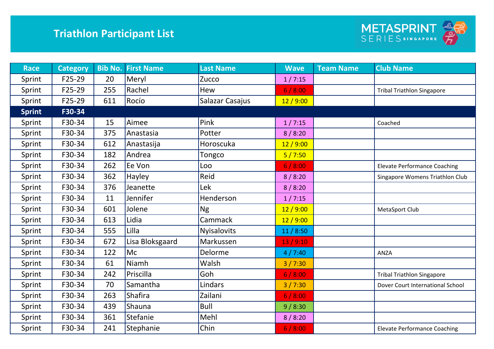

| <b>Race</b>   | <b>Category</b> | <b>Bib No.</b> | <b>First Name</b> | <b>Last Name</b>   | <b>Wave</b> | <b>Team Name</b> | <b>Club Name</b>                    |
|---------------|-----------------|----------------|-------------------|--------------------|-------------|------------------|-------------------------------------|
| Sprint        | F25-29          | 20             | Meryl             | Zucco              | 1/7:15      |                  |                                     |
| Sprint        | F25-29          | 255            | Rachel            | Hew                | 6/8:00      |                  | <b>Tribal Triathlon Singapore</b>   |
| Sprint        | F25-29          | 611            | Rocío             | Salazar Casajus    | 12/9:00     |                  |                                     |
| <b>Sprint</b> | F30-34          |                |                   |                    |             |                  |                                     |
| Sprint        | F30-34          | 15             | Aimee             | Pink               | 1/7:15      |                  | Coached                             |
| Sprint        | F30-34          | 375            | Anastasia         | Potter             | 8/8:20      |                  |                                     |
| Sprint        | F30-34          | 612            | Anastasija        | Horoscuka          | 12/9:00     |                  |                                     |
| Sprint        | F30-34          | 182            | Andrea            | Tongco             | 5/7:50      |                  |                                     |
| Sprint        | F30-34          | 262            | Ee Von            | Loo                | 6/8:00      |                  | <b>Elevate Performance Coaching</b> |
| Sprint        | F30-34          | 362            | Hayley            | Reid               | 8/8:20      |                  | Singapore Womens Triathlon Club     |
| Sprint        | F30-34          | 376            | Jeanette          | Lek                | 8/8:20      |                  |                                     |
| Sprint        | F30-34          | 11             | Jennifer          | Henderson          | 1/7:15      |                  |                                     |
| Sprint        | F30-34          | 601            | Jolene            | <b>Ng</b>          | 12/9:00     |                  | MetaSport Club                      |
| Sprint        | F30-34          | 613            | Lidia             | Cammack            | 12/9:00     |                  |                                     |
| Sprint        | F30-34          | 555            | Lilla             | <b>Nyisalovits</b> | 11/8:50     |                  |                                     |
| Sprint        | F30-34          | 672            | Lisa Bloksgaard   | Markussen          | 13/9:10     |                  |                                     |
| Sprint        | F30-34          | 122            | Mc                | Delorme            | 4/7:40      |                  | <b>ANZA</b>                         |
| Sprint        | F30-34          | 61             | Niamh             | Walsh              | 3/7:30      |                  |                                     |
| Sprint        | F30-34          | 242            | Priscilla         | Goh                | 6/8:00      |                  | <b>Tribal Triathlon Singapore</b>   |
| Sprint        | F30-34          | 70             | Samantha          | Lindars            | 3/7:30      |                  | Dover Court International School    |
| Sprint        | F30-34          | 263            | <b>Shafira</b>    | Zailani            | 6/8:00      |                  |                                     |
| Sprint        | F30-34          | 439            | Shauna            | <b>Bull</b>        | 9/8:30      |                  |                                     |
| Sprint        | F30-34          | 361            | Stefanie          | Mehl               | 8/8:20      |                  |                                     |
| Sprint        | F30-34          | 241            | Stephanie         | Chin               | 6/8:00      |                  | <b>Elevate Performance Coaching</b> |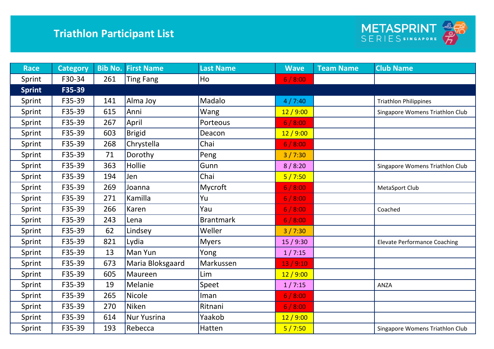

| <b>Race</b>   | <b>Category</b> |     | <b>Bib No. First Name</b> | <b>Last Name</b> | <b>Wave</b> | <b>Team Name</b> | <b>Club Name</b>                    |
|---------------|-----------------|-----|---------------------------|------------------|-------------|------------------|-------------------------------------|
| Sprint        | F30-34          | 261 | <b>Ting Fang</b>          | Ho               | 6/8:00      |                  |                                     |
| <b>Sprint</b> | F35-39          |     |                           |                  |             |                  |                                     |
| Sprint        | F35-39          | 141 | Alma Joy                  | Madalo           | 4/7:40      |                  | <b>Triathlon Philippines</b>        |
| Sprint        | F35-39          | 615 | Anni                      | Wang             | 12/9:00     |                  | Singapore Womens Triathlon Club     |
| Sprint        | F35-39          | 267 | April                     | Porteous         | 6/8:00      |                  |                                     |
| Sprint        | F35-39          | 603 | <b>Brigid</b>             | Deacon           | 12/9:00     |                  |                                     |
| Sprint        | F35-39          | 268 | Chrystella                | Chai             | 6/8:00      |                  |                                     |
| Sprint        | F35-39          | 71  | Dorothy                   | Peng             | 3/7:30      |                  |                                     |
| Sprint        | F35-39          | 363 | Hollie                    | Gunn             | 8/8:20      |                  | Singapore Womens Triathlon Club     |
| Sprint        | F35-39          | 194 | Jen                       | Chai             | 5/7:50      |                  |                                     |
| Sprint        | F35-39          | 269 | Joanna                    | Mycroft          | 6/8:00      |                  | MetaSport Club                      |
| Sprint        | F35-39          | 271 | Kamilla                   | Yu               | 6/8:00      |                  |                                     |
| Sprint        | F35-39          | 266 | Karen                     | Yau              | 6/8:00      |                  | Coached                             |
| Sprint        | F35-39          | 243 | Lena                      | <b>Brantmark</b> | 6/8:00      |                  |                                     |
| Sprint        | F35-39          | 62  | Lindsey                   | Weller           | 3/7:30      |                  |                                     |
| Sprint        | F35-39          | 821 | Lydia                     | <b>Myers</b>     | 15/9:30     |                  | <b>Elevate Performance Coaching</b> |
| Sprint        | F35-39          | 13  | Man Yun                   | Yong             | 1/7:15      |                  |                                     |
| Sprint        | F35-39          | 673 | Maria Bloksgaard          | Markussen        | 13/9:10     |                  |                                     |
| Sprint        | F35-39          | 605 | Maureen                   | Lim              | 12/9:00     |                  |                                     |
| Sprint        | F35-39          | 19  | Melanie                   | Speet            | 1/7:15      |                  | ANZA                                |
| Sprint        | F35-39          | 265 | <b>Nicole</b>             | Iman             | 6/8:00      |                  |                                     |
| Sprint        | F35-39          | 270 | Niken                     | Ritnani          | 6/8:00      |                  |                                     |
| Sprint        | F35-39          | 614 | <b>Nur Yusrina</b>        | Yaakob           | 12/9:00     |                  |                                     |
| Sprint        | F35-39          | 193 | Rebecca                   | Hatten           | 5/7:50      |                  | Singapore Womens Triathlon Club     |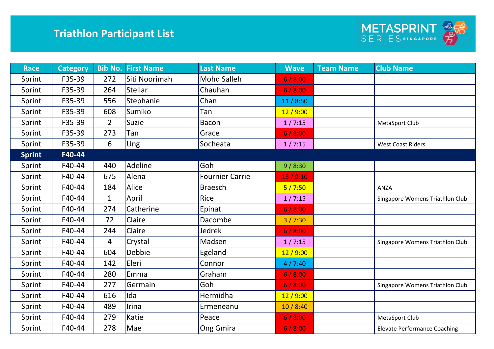

| <b>Race</b>   | <b>Category</b> | <b>Bib No.</b> | <b>First Name</b> | <b>Last Name</b>       | <b>Wave</b> | <b>Team Name</b> | <b>Club Name</b>                    |
|---------------|-----------------|----------------|-------------------|------------------------|-------------|------------------|-------------------------------------|
| Sprint        | F35-39          | 272            | Siti Noorimah     | Mohd Salleh            | 6/8:00      |                  |                                     |
| Sprint        | F35-39          | 264            | Stellar           | Chauhan                | 6/8:00      |                  |                                     |
| Sprint        | F35-39          | 556            | Stephanie         | Chan                   | 11/8:50     |                  |                                     |
| Sprint        | F35-39          | 608            | Sumiko            | Tan                    | 12/9:00     |                  |                                     |
| Sprint        | F35-39          | $\overline{2}$ | <b>Suzie</b>      | <b>Bacon</b>           | 1/7:15      |                  | MetaSport Club                      |
| Sprint        | F35-39          | 273            | Tan               | Grace                  | 6/8:00      |                  |                                     |
| Sprint        | F35-39          | 6              | Ung               | Socheata               | 1/7:15      |                  | <b>West Coast Riders</b>            |
| <b>Sprint</b> | F40-44          |                |                   |                        |             |                  |                                     |
| Sprint        | F40-44          | 440            | Adeline           | Goh                    | 9/8:30      |                  |                                     |
| Sprint        | F40-44          | 675            | Alena             | <b>Fournier Carrie</b> | 13/9:10     |                  |                                     |
| Sprint        | F40-44          | 184            | Alice             | <b>Braesch</b>         | 5/7:50      |                  | ANZA                                |
| Sprint        | F40-44          | $\mathbf{1}$   | April             | Rice                   | 1/7:15      |                  | Singapore Womens Triathlon Club     |
| Sprint        | F40-44          | 274            | Catherine         | Epinat                 | 6/8:00      |                  |                                     |
| Sprint        | F40-44          | 72             | Claire            | Dacombe                | 3/7:30      |                  |                                     |
| Sprint        | F40-44          | 244            | Claire            | Jedrek                 | 6/8:00      |                  |                                     |
| Sprint        | F40-44          | 4              | Crystal           | Madsen                 | 1/7:15      |                  | Singapore Womens Triathlon Club     |
| Sprint        | F40-44          | 604            | Debbie            | Egeland                | 12/9:00     |                  |                                     |
| Sprint        | F40-44          | 142            | Eleri             | Connor                 | 4/7:40      |                  |                                     |
| Sprint        | F40-44          | 280            | Emma              | Graham                 | 6/8:00      |                  |                                     |
| Sprint        | F40-44          | 277            | Germain           | Goh                    | 6/8:00      |                  | Singapore Womens Triathlon Club     |
| Sprint        | F40-44          | 616            | Ida               | Hermidha               | 12/9:00     |                  |                                     |
| Sprint        | F40-44          | 489            | Irina             | Ermeneanu              | 10/8:40     |                  |                                     |
| Sprint        | F40-44          | 279            | Katie             | Peace                  | 6/8:00      |                  | MetaSport Club                      |
| Sprint        | F40-44          | 278            | Mae               | Ong Gmira              | 6/8:00      |                  | <b>Elevate Performance Coaching</b> |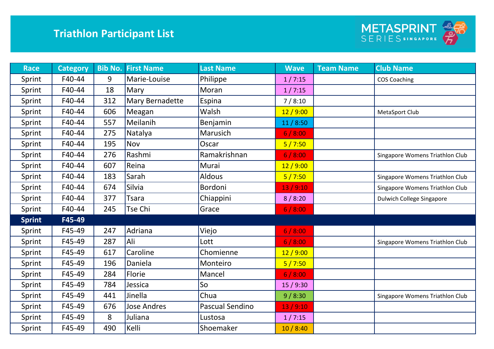

| <b>Race</b>   | <b>Category</b> | <b>Bib No.</b> | <b>First Name</b> | <b>Last Name</b> | <b>Wave</b> | <b>Team Name</b> | <b>Club Name</b>                 |
|---------------|-----------------|----------------|-------------------|------------------|-------------|------------------|----------------------------------|
| Sprint        | F40-44          | 9              | Marie-Louise      | Philippe         | 1/7:15      |                  | <b>COS Coaching</b>              |
| Sprint        | F40-44          | 18             | Mary              | Moran            | 1/7:15      |                  |                                  |
| Sprint        | F40-44          | 312            | Mary Bernadette   | Espina           | 7/8:10      |                  |                                  |
| Sprint        | F40-44          | 606            | Meagan            | Walsh            | 12/9:00     |                  | MetaSport Club                   |
| Sprint        | F40-44          | 557            | Meilanih          | Benjamin         | 11/8:50     |                  |                                  |
| Sprint        | F40-44          | 275            | Natalya           | Marusich         | 6/8:00      |                  |                                  |
| Sprint        | F40-44          | 195            | Nov               | Oscar            | 5/7:50      |                  |                                  |
| Sprint        | F40-44          | 276            | Rashmi            | Ramakrishnan     | 6/8:00      |                  | Singapore Womens Triathlon Club  |
| Sprint        | F40-44          | 607            | Reina             | Murai            | 12/9:00     |                  |                                  |
| Sprint        | F40-44          | 183            | Sarah             | <b>Aldous</b>    | 5/7:50      |                  | Singapore Womens Triathlon Club  |
| Sprint        | F40-44          | 674            | <b>Silvia</b>     | Bordoni          | 13/9:10     |                  | Singapore Womens Triathlon Club  |
| Sprint        | F40-44          | 377            | <b>Tsara</b>      | Chiappini        | 8/8:20      |                  | <b>Dulwich College Singapore</b> |
| Sprint        | F40-44          | 245            | Tse Chi           | Grace            | 6/8:00      |                  |                                  |
| <b>Sprint</b> | F45-49          |                |                   |                  |             |                  |                                  |
| Sprint        | F45-49          | 247            | Adriana           | Viejo            | 6/8:00      |                  |                                  |
| Sprint        | F45-49          | 287            | Ali               | Lott             | 6/8:00      |                  | Singapore Womens Triathlon Club  |
| Sprint        | F45-49          | 617            | Caroline          | Chomienne        | 12/9:00     |                  |                                  |
| Sprint        | F45-49          | 196            | Daniela           | Monteiro         | 5/7:50      |                  |                                  |
| Sprint        | F45-49          | 284            | Florie            | Mancel           | 6/8:00      |                  |                                  |
| Sprint        | F45-49          | 784            | Jessica           | So               | 15/9:30     |                  |                                  |
| Sprint        | F45-49          | 441            | Jinella           | Chua             | 9/8:30      |                  | Singapore Womens Triathlon Club  |
| Sprint        | F45-49          | 676            | Jose Andres       | Pascual Sendino  | 13/9:10     |                  |                                  |
| Sprint        | F45-49          | 8              | Juliana           | Lustosa          | 1/7:15      |                  |                                  |
| Sprint        | F45-49          | 490            | Kelli             | Shoemaker        | 10/8:40     |                  |                                  |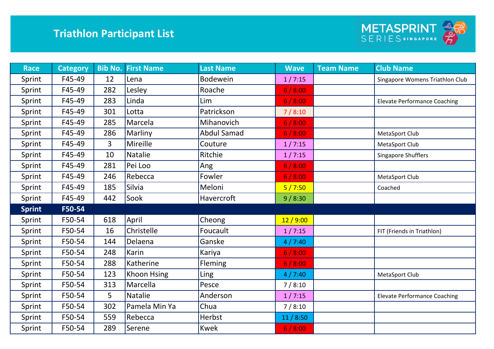

| <b>Race</b>   | <b>Category</b> | <b>Bib No.</b> | <b>First Name</b> | <b>Last Name</b>   | <b>Wave</b> | <b>Team Name</b> | <b>Club Name</b>                    |
|---------------|-----------------|----------------|-------------------|--------------------|-------------|------------------|-------------------------------------|
| Sprint        | F45-49          | 12             | Lena              | <b>Bodewein</b>    | 1/7:15      |                  | Singapore Womens Triathlon Club     |
| Sprint        | F45-49          | 282            | Lesley            | Roache             | 6/8:00      |                  |                                     |
| Sprint        | F45-49          | 283            | Linda             | Lim                | 6/8:00      |                  | <b>Elevate Performance Coaching</b> |
| Sprint        | F45-49          | 301            | Lotta             | Patrickson         | 7/8:10      |                  |                                     |
| Sprint        | F45-49          | 285            | Marcela           | Mihanovich         | 6/8:00      |                  |                                     |
| Sprint        | F45-49          | 286            | Marliny           | <b>Abdul Samad</b> | 6/8:00      |                  | MetaSport Club                      |
| Sprint        | F45-49          | 3              | Mireille          | Couture            | 1/7:15      |                  | MetaSport Club                      |
| Sprint        | F45-49          | 10             | <b>Natalie</b>    | Ritchie            | 1/7:15      |                  | Singapore Shufflers                 |
| Sprint        | F45-49          | 281            | Pei Loo           | Ang                | 6/8:00      |                  |                                     |
| Sprint        | F45-49          | 246            | Rebecca           | Fowler             | 6/8:00      |                  | MetaSport Club                      |
| Sprint        | F45-49          | 185            | Silvia            | Meloni             | 5/7:50      |                  | Coached                             |
| Sprint        | F45-49          | 442            | Sook              | Havercroft         | 9/8:30      |                  |                                     |
| <b>Sprint</b> | F50-54          |                |                   |                    |             |                  |                                     |
| Sprint        | F50-54          | 618            | April             | Cheong             | 12/9:00     |                  |                                     |
| Sprint        | F50-54          | 16             | Christelle        | Foucault           | 1/7:15      |                  | FIT (Friends in Triathlon)          |
| Sprint        | F50-54          | 144            | Delaena           | Ganske             | 4/7:40      |                  |                                     |
| Sprint        | F50-54          | 248            | Karin             | Kariya             | 6/8:00      |                  |                                     |
| Sprint        | F50-54          | 288            | Katherine         | Fleming            | 6/8:00      |                  |                                     |
| Sprint        | F50-54          | 123            | Khoon Hsing       | Ling               | 4/7:40      |                  | MetaSport Club                      |
| Sprint        | F50-54          | 313            | Marcella          | Pesce              | 7/8:10      |                  |                                     |
| Sprint        | F50-54          | 5              | <b>Natalie</b>    | Anderson           | 1/7:15      |                  | <b>Elevate Performance Coaching</b> |
| Sprint        | F50-54          | 302            | Pamela Min Ya     | Chua               | 7/8:10      |                  |                                     |
| Sprint        | F50-54          | 559            | Rebecca           | Herbst             | 11/8:50     |                  |                                     |
| Sprint        | F50-54          | 289            | Serene            | <b>Kwek</b>        | 6/8:00      |                  |                                     |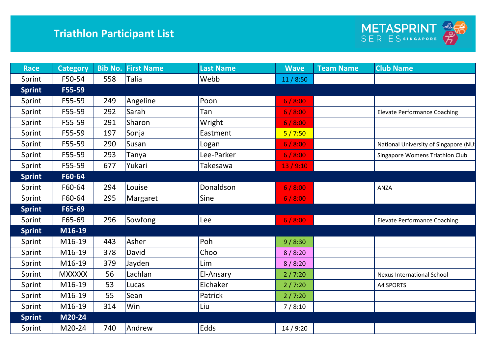

| <b>Race</b>   | <b>Category</b> | <b>Bib No.</b> | <b>First Name</b> | <b>Last Name</b> | <b>Wave</b> | <b>Team Name</b> | <b>Club Name</b>                     |
|---------------|-----------------|----------------|-------------------|------------------|-------------|------------------|--------------------------------------|
| Sprint        | F50-54          | 558            | Talia             | Webb             | 11/8:50     |                  |                                      |
| <b>Sprint</b> | F55-59          |                |                   |                  |             |                  |                                      |
| Sprint        | F55-59          | 249            | Angeline          | Poon             | 6/8:00      |                  |                                      |
| Sprint        | F55-59          | 292            | Sarah             | Tan              | 6/8:00      |                  | <b>Elevate Performance Coaching</b>  |
| Sprint        | F55-59          | 291            | Sharon            | Wright           | 6/8:00      |                  |                                      |
| Sprint        | F55-59          | 197            | Sonja             | Eastment         | 5/7:50      |                  |                                      |
| Sprint        | F55-59          | 290            | Susan             | Logan            | 6/8:00      |                  | National University of Singapore (NU |
| Sprint        | F55-59          | 293            | Tanya             | Lee-Parker       | 6/8:00      |                  | Singapore Womens Triathlon Club      |
| Sprint        | F55-59          | 677            | Yukari            | Takesawa         | 13/9:10     |                  |                                      |
| <b>Sprint</b> | F60-64          |                |                   |                  |             |                  |                                      |
| Sprint        | F60-64          | 294            | Louise            | Donaldson        | 6/8:00      |                  | ANZA                                 |
| Sprint        | F60-64          | 295            | Margaret          | Sine             | 6/8:00      |                  |                                      |
| <b>Sprint</b> | F65-69          |                |                   |                  |             |                  |                                      |
| Sprint        | F65-69          | 296            | Sowfong           | Lee              | 6/8:00      |                  | <b>Elevate Performance Coaching</b>  |
| <b>Sprint</b> | M16-19          |                |                   |                  |             |                  |                                      |
| Sprint        | M16-19          | 443            | Asher             | Poh              | 9/8:30      |                  |                                      |
| Sprint        | M16-19          | 378            | David             | Choo             | 8/8:20      |                  |                                      |
| Sprint        | M16-19          | 379            | Jayden            | Lim              | 8/8:20      |                  |                                      |
| Sprint        | <b>MXXXXX</b>   | 56             | Lachlan           | El-Ansary        | 2/7:20      |                  | <b>Nexus International School</b>    |
| Sprint        | M16-19          | 53             | Lucas             | Eichaker         | 2/7:20      |                  | A4 SPORTS                            |
| Sprint        | M16-19          | 55             | Sean              | Patrick          | 2/7:20      |                  |                                      |
| Sprint        | M16-19          | 314            | Win               | Liu              | 7/8:10      |                  |                                      |
| <b>Sprint</b> | M20-24          |                |                   |                  |             |                  |                                      |
| Sprint        | M20-24          | 740            | Andrew            | Edds             | 14/9:20     |                  |                                      |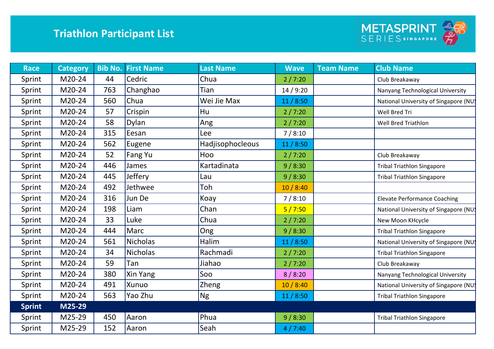

| <b>Race</b>   | <b>Category</b> | <b>Bib No.</b> | <b>First Name</b> | <b>Last Name</b> | <b>Wave</b> | <b>Team Name</b> | <b>Club Name</b>                      |
|---------------|-----------------|----------------|-------------------|------------------|-------------|------------------|---------------------------------------|
| Sprint        | M20-24          | 44             | Cedric            | Chua             | 2/7:20      |                  | Club Breakaway                        |
| Sprint        | M20-24          | 763            | Changhao          | Tian             | 14/9:20     |                  | Nanyang Technological University      |
| Sprint        | M20-24          | 560            | Chua              | Wei Jie Max      | 11/8:50     |                  | National University of Singapore (NU  |
| Sprint        | M20-24          | 57             | Crispin           | Hu               | 2/7:20      |                  | Well Bred Tri                         |
| Sprint        | M20-24          | 58             | Dylan             | Ang              | 2/7:20      |                  | Well Bred Triathlon                   |
| Sprint        | M20-24          | 315            | Eesan             | Lee              | 7/8:10      |                  |                                       |
| Sprint        | M20-24          | 562            | Eugene            | Hadjisophocleous | 11/8:50     |                  |                                       |
| Sprint        | M20-24          | 52             | Fang Yu           | Hoo              | 2/7:20      |                  | Club Breakaway                        |
| Sprint        | M20-24          | 446            | James             | Kartadinata      | 9/8:30      |                  | <b>Tribal Triathlon Singapore</b>     |
| Sprint        | M20-24          | 445            | Jeffery           | Lau              | 9/8:30      |                  | <b>Tribal Triathlon Singapore</b>     |
| Sprint        | M20-24          | 492            | Jethwee           | Toh              | 10/8:40     |                  |                                       |
| Sprint        | M20-24          | 316            | Jun De            | Koay             | 7/8:10      |                  | <b>Elevate Performance Coaching</b>   |
| Sprint        | M20-24          | 198            | Liam              | Chan             | 5/7:50      |                  | National University of Singapore (NU  |
| Sprint        | M20-24          | 33             | Luke              | Chua             | 2/7:20      |                  | New Moon KHcycle                      |
| Sprint        | M20-24          | 444            | Marc              | Ong              | 9/8:30      |                  | <b>Tribal Triathlon Singapore</b>     |
| Sprint        | M20-24          | 561            | <b>Nicholas</b>   | Halim            | 11/8:50     |                  | National University of Singapore (NU! |
| Sprint        | M20-24          | 34             | <b>Nicholas</b>   | Rachmadi         | 2/7:20      |                  | <b>Tribal Triathlon Singapore</b>     |
| Sprint        | M20-24          | 59             | Tan               | Jiahao           | 2/7:20      |                  | Club Breakaway                        |
| Sprint        | M20-24          | 380            | Xin Yang          | Soo              | 8/8:20      |                  | Nanyang Technological University      |
| Sprint        | M20-24          | 491            | Xunuo             | Zheng            | 10/8:40     |                  | National University of Singapore (NU  |
| Sprint        | M20-24          | 563            | Yao Zhu           | <b>Ng</b>        | 11/8:50     |                  | <b>Tribal Triathlon Singapore</b>     |
| <b>Sprint</b> | M25-29          |                |                   |                  |             |                  |                                       |
| Sprint        | M25-29          | 450            | Aaron             | Phua             | 9/8:30      |                  | <b>Tribal Triathlon Singapore</b>     |
| Sprint        | M25-29          | 152            | Aaron             | Seah             | 4/7:40      |                  |                                       |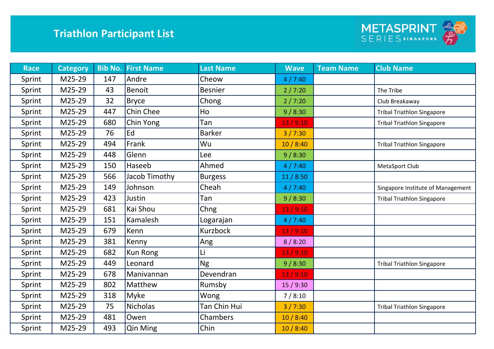

| <b>Race</b> | <b>Category</b> | <b>Bib No.</b> | <b>First Name</b> | <b>Last Name</b> | <b>Wave</b> | <b>Team Name</b> | <b>Club Name</b>                  |
|-------------|-----------------|----------------|-------------------|------------------|-------------|------------------|-----------------------------------|
| Sprint      | M25-29          | 147            | Andre             | Cheow            | 4/7:40      |                  |                                   |
| Sprint      | M25-29          | 43             | <b>Benoit</b>     | <b>Besnier</b>   | 2/7:20      |                  | The Tribe                         |
| Sprint      | M25-29          | 32             | Bryce             | Chong            | 2/7:20      |                  | Club Breakaway                    |
| Sprint      | M25-29          | 447            | Chin Chee         | Ho               | 9/8:30      |                  | <b>Tribal Triathlon Singapore</b> |
| Sprint      | M25-29          | 680            | Chin Yong         | Tan              | 13/9:10     |                  | <b>Tribal Triathlon Singapore</b> |
| Sprint      | M25-29          | 76             | Ed                | <b>Barker</b>    | 3/7:30      |                  |                                   |
| Sprint      | M25-29          | 494            | Frank             | Wu               | 10/8:40     |                  | <b>Tribal Triathlon Singapore</b> |
| Sprint      | M25-29          | 448            | Glenn             | Lee              | 9/8:30      |                  |                                   |
| Sprint      | M25-29          | 150            | Haseeb            | Ahmed            | 4/7:40      |                  | MetaSport Club                    |
| Sprint      | M25-29          | 566            | Jacob Timothy     | <b>Burgess</b>   | 11/8:50     |                  |                                   |
| Sprint      | M25-29          | 149            | Johnson           | Cheah            | 4/7:40      |                  | Singapore Institute of Management |
| Sprint      | M25-29          | 423            | Justin            | Tan              | 9/8:30      |                  | <b>Tribal Triathlon Singapore</b> |
| Sprint      | M25-29          | 681            | Kai Shou          | Chng             | 13/9:10     |                  |                                   |
| Sprint      | M25-29          | 151            | Kamalesh          | Logarajan        | 4/7:40      |                  |                                   |
| Sprint      | M25-29          | 679            | Kenn              | <b>Kurzbock</b>  | 13/9:10     |                  |                                   |
| Sprint      | M25-29          | 381            | Kenny             | Ang              | 8/8:20      |                  |                                   |
| Sprint      | M25-29          | 682            | <b>Kun Rong</b>   | Li               | 13/9:10     |                  |                                   |
| Sprint      | M25-29          | 449            | Leonard           | <b>Ng</b>        | 9/8:30      |                  | <b>Tribal Triathlon Singapore</b> |
| Sprint      | M25-29          | 678            | Manivannan        | Devendran        | 13/9:10     |                  |                                   |
| Sprint      | M25-29          | 802            | Matthew           | Rumsby           | 15/9:30     |                  |                                   |
| Sprint      | M25-29          | 318            | Myke              | Wong             | 7/8:10      |                  |                                   |
| Sprint      | M25-29          | 75             | <b>Nicholas</b>   | Tan Chin Hui     | 3/7:30      |                  | <b>Tribal Triathlon Singapore</b> |
| Sprint      | M25-29          | 481            | Owen              | Chambers         | 10/8:40     |                  |                                   |
| Sprint      | M25-29          | 493            | Qin Ming          | Chin             | 10/8:40     |                  |                                   |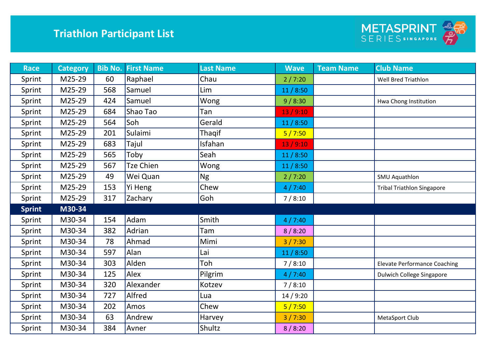

| <b>Race</b>   | <b>Category</b> |     | <b>Bib No. First Name</b> | <b>Last Name</b> | <b>Wave</b> | <b>Team Name</b> | <b>Club Name</b>                    |
|---------------|-----------------|-----|---------------------------|------------------|-------------|------------------|-------------------------------------|
| Sprint        | M25-29          | 60  | Raphael                   | Chau             | 2/7:20      |                  | <b>Well Bred Triathlon</b>          |
| Sprint        | M25-29          | 568 | Samuel                    | Lim              | 11/8:50     |                  |                                     |
| Sprint        | M25-29          | 424 | Samuel                    | Wong             | 9/8:30      |                  | Hwa Chong Institution               |
| Sprint        | M25-29          | 684 | Shao Tao                  | Tan              | 13/9:10     |                  |                                     |
| Sprint        | M25-29          | 564 | Soh                       | Gerald           | 11/8:50     |                  |                                     |
| Sprint        | M25-29          | 201 | Sulaimi                   | Thagif           | 5/7:50      |                  |                                     |
| Sprint        | M25-29          | 683 | Tajul                     | Isfahan          | 13/9:10     |                  |                                     |
| Sprint        | M25-29          | 565 | Toby                      | Seah             | 11/8:50     |                  |                                     |
| Sprint        | M25-29          | 567 | <b>Tze Chien</b>          | Wong             | 11/8:50     |                  |                                     |
| Sprint        | M25-29          | 49  | Wei Quan                  | <b>Ng</b>        | 2/7:20      |                  | <b>SMU Aquathlon</b>                |
| Sprint        | M25-29          | 153 | Yi Heng                   | Chew             | 4/7:40      |                  | <b>Tribal Triathlon Singapore</b>   |
| Sprint        | M25-29          | 317 | Zachary                   | Goh              | 7/8:10      |                  |                                     |
| <b>Sprint</b> | M30-34          |     |                           |                  |             |                  |                                     |
| Sprint        | M30-34          | 154 | Adam                      | Smith            | 4/7:40      |                  |                                     |
| Sprint        | M30-34          | 382 | Adrian                    | Tam              | 8/8:20      |                  |                                     |
| Sprint        | M30-34          | 78  | Ahmad                     | Mimi             | 3/7:30      |                  |                                     |
| Sprint        | M30-34          | 597 | Alan                      | Lai              | 11/8:50     |                  |                                     |
| Sprint        | M30-34          | 303 | Alden                     | Toh              | 7/8:10      |                  | <b>Elevate Performance Coaching</b> |
| Sprint        | M30-34          | 125 | Alex                      | Pilgrim          | 4/7:40      |                  | <b>Dulwich College Singapore</b>    |
| Sprint        | M30-34          | 320 | Alexander                 | Kotzev           | 7/8:10      |                  |                                     |
| Sprint        | M30-34          | 727 | Alfred                    | Lua              | 14/9:20     |                  |                                     |
| Sprint        | M30-34          | 202 | Amos                      | Chew             | 5/7:50      |                  |                                     |
| Sprint        | M30-34          | 63  | Andrew                    | Harvey           | 3/7:30      |                  | MetaSport Club                      |
| Sprint        | M30-34          | 384 | Avner                     | Shultz           | 8/8:20      |                  |                                     |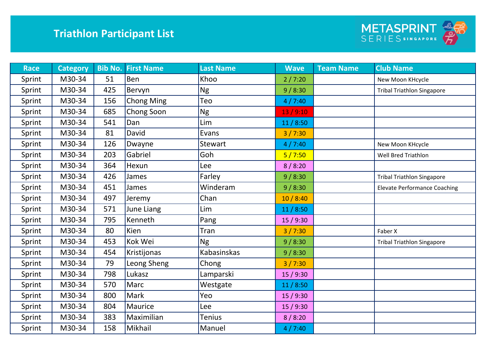

| <b>Race</b> | <b>Category</b> |     | <b>Bib No. First Name</b> | <b>Last Name</b>   | <b>Wave</b> | <b>Team Name</b> | <b>Club Name</b>                    |
|-------------|-----------------|-----|---------------------------|--------------------|-------------|------------------|-------------------------------------|
| Sprint      | M30-34          | 51  | Ben                       | Khoo               | 2/7:20      |                  | New Moon KHcycle                    |
| Sprint      | M30-34          | 425 | Bervyn                    | <b>Ng</b>          | 9/8:30      |                  | <b>Tribal Triathlon Singapore</b>   |
| Sprint      | M30-34          | 156 | <b>Chong Ming</b>         | Teo                | 4/7:40      |                  |                                     |
| Sprint      | M30-34          | 685 | Chong Soon                | <b>Ng</b>          | 13/9:10     |                  |                                     |
| Sprint      | M30-34          | 541 | Dan                       | Lim                | 11/8:50     |                  |                                     |
| Sprint      | M30-34          | 81  | David                     | Evans              | 3/7:30      |                  |                                     |
| Sprint      | M30-34          | 126 | Dwayne                    | Stewart            | 4/7:40      |                  | New Moon KHcycle                    |
| Sprint      | M30-34          | 203 | Gabriel                   | Goh                | 5/7:50      |                  | Well Bred Triathlon                 |
| Sprint      | M30-34          | 364 | Hexun                     | Lee                | 8/8:20      |                  |                                     |
| Sprint      | M30-34          | 426 | James                     | Farley             | 9/8:30      |                  | <b>Tribal Triathlon Singapore</b>   |
| Sprint      | M30-34          | 451 | James                     | Winderam           | 9/8:30      |                  | <b>Elevate Performance Coaching</b> |
| Sprint      | M30-34          | 497 | Jeremy                    | Chan               | 10/8:40     |                  |                                     |
| Sprint      | M30-34          | 571 | June Liang                | Lim                | 11/8:50     |                  |                                     |
| Sprint      | M30-34          | 795 | Kenneth                   | Pang               | 15/9:30     |                  |                                     |
| Sprint      | M30-34          | 80  | Kien                      | Tran               | 3/7:30      |                  | Faber X                             |
| Sprint      | M30-34          | 453 | Kok Wei                   | <b>Ng</b>          | 9/8:30      |                  | <b>Tribal Triathlon Singapore</b>   |
| Sprint      | M30-34          | 454 | Kristijonas               | <b>Kabasinskas</b> | 9/8:30      |                  |                                     |
| Sprint      | M30-34          | 79  | Leong Sheng               | Chong              | 3/7:30      |                  |                                     |
| Sprint      | M30-34          | 798 | Lukasz                    | Lamparski          | 15/9:30     |                  |                                     |
| Sprint      | M30-34          | 570 | Marc                      | Westgate           | 11/8:50     |                  |                                     |
| Sprint      | M30-34          | 800 | Mark                      | Yeo                | 15/9:30     |                  |                                     |
| Sprint      | M30-34          | 804 | Maurice                   | Lee                | 15/9:30     |                  |                                     |
| Sprint      | M30-34          | 383 | Maximilian                | Tenius             | 8/8:20      |                  |                                     |
| Sprint      | M30-34          | 158 | Mikhail                   | Manuel             | 4/7:40      |                  |                                     |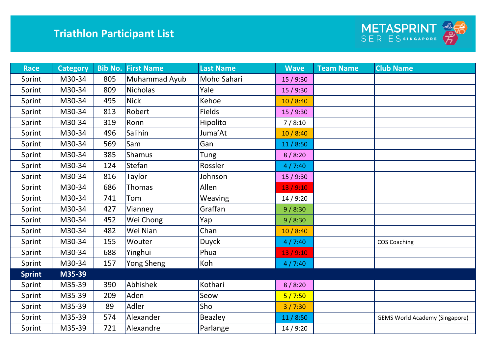

| <b>Race</b>   | <b>Category</b> | <b>Bib No.</b> | <b>First Name</b> | <b>Last Name</b> | <b>Wave</b> | <b>Team Name</b> | <b>Club Name</b>                      |
|---------------|-----------------|----------------|-------------------|------------------|-------------|------------------|---------------------------------------|
| Sprint        | M30-34          | 805            | Muhammad Ayub     | Mohd Sahari      | 15 / 9:30   |                  |                                       |
| Sprint        | M30-34          | 809            | <b>Nicholas</b>   | Yale             | 15 / 9:30   |                  |                                       |
| Sprint        | M30-34          | 495            | <b>Nick</b>       | Kehoe            | 10/8:40     |                  |                                       |
| Sprint        | M30-34          | 813            | Robert            | <b>Fields</b>    | 15/9:30     |                  |                                       |
| Sprint        | M30-34          | 319            | Ronn              | Hipolito         | 7/8:10      |                  |                                       |
| Sprint        | M30-34          | 496            | Salihin           | Juma'At          | 10/8:40     |                  |                                       |
| Sprint        | M30-34          | 569            | Sam               | Gan              | 11/8:50     |                  |                                       |
| Sprint        | M30-34          | 385            | <b>Shamus</b>     | Tung             | 8/8:20      |                  |                                       |
| Sprint        | M30-34          | 124            | Stefan            | Rossler          | 4/7:40      |                  |                                       |
| Sprint        | M30-34          | 816            | Taylor            | Johnson          | 15/9:30     |                  |                                       |
| Sprint        | M30-34          | 686            | <b>Thomas</b>     | Allen            | 13/9:10     |                  |                                       |
| Sprint        | M30-34          | 741            | Tom               | Weaving          | 14/9:20     |                  |                                       |
| Sprint        | M30-34          | 427            | Vianney           | Graffan          | 9/8:30      |                  |                                       |
| Sprint        | M30-34          | 452            | Wei Chong         | Yap              | 9/8:30      |                  |                                       |
| Sprint        | M30-34          | 482            | Wei Nian          | Chan             | 10/8:40     |                  |                                       |
| Sprint        | M30-34          | 155            | Wouter            | Duyck            | 4/7:40      |                  | <b>COS Coaching</b>                   |
| Sprint        | M30-34          | 688            | Yinghui           | Phua             | 13/9:10     |                  |                                       |
| Sprint        | M30-34          | 157            | Yong Sheng        | Koh              | 4/7:40      |                  |                                       |
| <b>Sprint</b> | M35-39          |                |                   |                  |             |                  |                                       |
| Sprint        | M35-39          | 390            | Abhishek          | Kothari          | 8/8:20      |                  |                                       |
| Sprint        | M35-39          | 209            | Aden              | Seow             | 5/7:50      |                  |                                       |
| Sprint        | M35-39          | 89             | Adler             | Sho              | 3/7:30      |                  |                                       |
| Sprint        | M35-39          | 574            | Alexander         | Beazley          | 11/8:50     |                  | <b>GEMS World Academy (Singapore)</b> |
| Sprint        | M35-39          | 721            | Alexandre         | Parlange         | 14/9:20     |                  |                                       |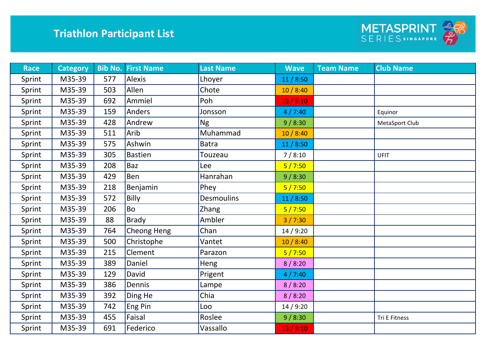

| <b>Race</b> | <b>Category</b> |     | <b>Bib No. First Name</b> | <b>Last Name</b>  | <b>Wave</b> | <b>Team Name</b> | <b>Club Name</b> |
|-------------|-----------------|-----|---------------------------|-------------------|-------------|------------------|------------------|
| Sprint      | M35-39          | 577 | <b>Alexis</b>             | Lhoyer            | 11/8:50     |                  |                  |
| Sprint      | M35-39          | 503 | Allen                     | Chote             | 10/8:40     |                  |                  |
| Sprint      | M35-39          | 692 | Ammiel                    | Poh               | 13/9:10     |                  |                  |
| Sprint      | M35-39          | 159 | Anders                    | Jonsson           | 4/7:40      |                  | Equinor          |
| Sprint      | M35-39          | 428 | Andrew                    | <b>Ng</b>         | 9/8:30      |                  | MetaSport Club   |
| Sprint      | M35-39          | 511 | Arib                      | Muhammad          | 10/8:40     |                  |                  |
| Sprint      | M35-39          | 575 | Ashwin                    | <b>Batra</b>      | 11/8:50     |                  |                  |
| Sprint      | M35-39          | 305 | <b>Bastien</b>            | Touzeau           | 7/8:10      |                  | <b>UFIT</b>      |
| Sprint      | M35-39          | 208 | <b>Baz</b>                | Lee               | 5/7:50      |                  |                  |
| Sprint      | M35-39          | 429 | <b>Ben</b>                | Hanrahan          | 9/8:30      |                  |                  |
| Sprint      | M35-39          | 218 | Benjamin                  | Phey              | 5/7:50      |                  |                  |
| Sprint      | M35-39          | 572 | <b>Billy</b>              | <b>Desmoulins</b> | 11/8:50     |                  |                  |
| Sprint      | M35-39          | 206 | <b>Bo</b>                 | Zhang             | 5/7:50      |                  |                  |
| Sprint      | M35-39          | 88  | <b>Brady</b>              | Ambler            | 3 / 7:30    |                  |                  |
| Sprint      | M35-39          | 764 | Cheong Heng               | Chan              | 14/9:20     |                  |                  |
| Sprint      | M35-39          | 500 | Christophe                | Vantet            | 10/8:40     |                  |                  |
| Sprint      | M35-39          | 215 | Clement                   | Parazon           | 5/7:50      |                  |                  |
| Sprint      | M35-39          | 389 | Daniel                    | Heng              | 8/8:20      |                  |                  |
| Sprint      | M35-39          | 129 | David                     | Prigent           | 4/7:40      |                  |                  |
| Sprint      | M35-39          | 386 | Dennis                    | Lampe             | 8/8:20      |                  |                  |
| Sprint      | M35-39          | 392 | Ding He                   | Chia              | 8/8:20      |                  |                  |
| Sprint      | M35-39          | 742 | Eng Pin                   | Loo               | 14/9:20     |                  |                  |
| Sprint      | M35-39          | 455 | Faisal                    | Roslee            | 9/8:30      |                  | Tri E Fitness    |
| Sprint      | M35-39          | 691 | Federico                  | Vassallo          | 13/9:10     |                  |                  |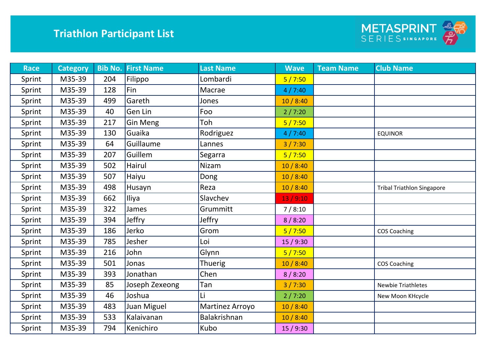

| <b>Race</b> | <b>Category</b> |     | <b>Bib No. First Name</b> | <b>Last Name</b> | <b>Wave</b> | <b>Team Name</b> | <b>Club Name</b>                  |
|-------------|-----------------|-----|---------------------------|------------------|-------------|------------------|-----------------------------------|
| Sprint      | M35-39          | 204 | Filippo                   | Lombardi         | 5/7:50      |                  |                                   |
| Sprint      | M35-39          | 128 | Fin                       | Macrae           | 4/7:40      |                  |                                   |
| Sprint      | M35-39          | 499 | Gareth                    | Jones            | 10/8:40     |                  |                                   |
| Sprint      | M35-39          | 40  | Gen Lin                   | Foo              | 2/7:20      |                  |                                   |
| Sprint      | M35-39          | 217 | Gin Meng                  | Toh              | 5/7:50      |                  |                                   |
| Sprint      | M35-39          | 130 | Guaika                    | Rodriguez        | 4/7:40      |                  | <b>EQUINOR</b>                    |
| Sprint      | M35-39          | 64  | Guillaume                 | Lannes           | 3/7:30      |                  |                                   |
| Sprint      | M35-39          | 207 | Guillem                   | Segarra          | 5/7:50      |                  |                                   |
| Sprint      | M35-39          | 502 | Hairul                    | <b>Nizam</b>     | 10/8:40     |                  |                                   |
| Sprint      | M35-39          | 507 | Haiyu                     | Dong             | 10/8:40     |                  |                                   |
| Sprint      | M35-39          | 498 | Husayn                    | Reza             | 10/8:40     |                  | <b>Tribal Triathlon Singapore</b> |
| Sprint      | M35-39          | 662 | Iliya                     | Slavchev         | 13/9:10     |                  |                                   |
| Sprint      | M35-39          | 322 | James                     | Grummitt         | 7/8:10      |                  |                                   |
| Sprint      | M35-39          | 394 | Jeffry                    | Jeffry           | 8/8:20      |                  |                                   |
| Sprint      | M35-39          | 186 | Jerko                     | Grom             | 5/7:50      |                  | <b>COS Coaching</b>               |
| Sprint      | M35-39          | 785 | Jesher                    | Loi              | 15/9:30     |                  |                                   |
| Sprint      | M35-39          | 216 | John                      | Glynn            | 5/7:50      |                  |                                   |
| Sprint      | M35-39          | 501 | Jonas                     | <b>Thuerig</b>   | 10/8:40     |                  | <b>COS Coaching</b>               |
| Sprint      | M35-39          | 393 | Jonathan                  | Chen             | 8/8:20      |                  |                                   |
| Sprint      | M35-39          | 85  | Joseph Zexeong            | Tan              | 3/7:30      |                  | <b>Newbie Triathletes</b>         |
| Sprint      | M35-39          | 46  | Joshua                    | Li               | 2/7:20      |                  | New Moon KHcycle                  |
| Sprint      | M35-39          | 483 | Juan Miguel               | Martinez Arroyo  | 10/8:40     |                  |                                   |
| Sprint      | M35-39          | 533 | Kalaivanan                | Balakrishnan     | 10/8:40     |                  |                                   |
| Sprint      | M35-39          | 794 | Kenichiro                 | Kubo             | 15/9:30     |                  |                                   |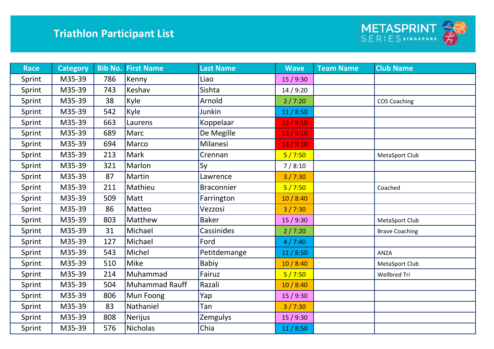

| <b>Race</b> | <b>Category</b> |     | <b>Bib No. First Name</b> | <b>Last Name</b>  | <b>Wave</b> | <b>Team Name</b> | <b>Club Name</b>      |
|-------------|-----------------|-----|---------------------------|-------------------|-------------|------------------|-----------------------|
| Sprint      | M35-39          | 786 | Kenny                     | Liao              | 15/9:30     |                  |                       |
| Sprint      | M35-39          | 743 | Keshav                    | Sishta            | 14/9:20     |                  |                       |
| Sprint      | M35-39          | 38  | Kyle                      | Arnold            | 2/7:20      |                  | <b>COS Coaching</b>   |
| Sprint      | M35-39          | 542 | Kyle                      | Junkin            | 11/8:50     |                  |                       |
| Sprint      | M35-39          | 663 | Laurens                   | Koppelaar         | 13/9:10     |                  |                       |
| Sprint      | M35-39          | 689 | <b>Marc</b>               | De Megille        | 13/9:10     |                  |                       |
| Sprint      | M35-39          | 694 | Marco                     | Milanesi          | 13/9:10     |                  |                       |
| Sprint      | M35-39          | 213 | Mark                      | Crennan           | 5/7:50      |                  | MetaSport Club        |
| Sprint      | M35-39          | 321 | Marlon                    | Sy                | 7/8:10      |                  |                       |
| Sprint      | M35-39          | 87  | Martin                    | Lawrence          | 3/7:30      |                  |                       |
| Sprint      | M35-39          | 211 | Mathieu                   | <b>Braconnier</b> | 5/7:50      |                  | Coached               |
| Sprint      | M35-39          | 509 | Matt                      | Farrington        | 10/8:40     |                  |                       |
| Sprint      | M35-39          | 86  | Matteo                    | Vezzosi           | 3/7:30      |                  |                       |
| Sprint      | M35-39          | 803 | Matthew                   | <b>Baker</b>      | 15 / 9:30   |                  | MetaSport Club        |
| Sprint      | M35-39          | 31  | Michael                   | Cassinides        | 2/7:20      |                  | <b>Brave Coaching</b> |
| Sprint      | M35-39          | 127 | Michael                   | Ford              | 4/7:40      |                  |                       |
| Sprint      | M35-39          | 543 | Michel                    | Petitdemange      | 11/8:50     |                  | ANZA                  |
| Sprint      | M35-39          | 510 | <b>Mike</b>               | Babiy             | 10/8:40     |                  | MetaSport Club        |
| Sprint      | M35-39          | 214 | Muhammad                  | Fairuz            | 5/7:50      |                  | Wellbred Tri          |
| Sprint      | M35-39          | 504 | Muhammad Rauff            | Razali            | 10/8:40     |                  |                       |
| Sprint      | M35-39          | 806 | Mun Foong                 | Yap               | 15/9:30     |                  |                       |
| Sprint      | M35-39          | 83  | Nathaniel                 | Tan               | 3/7:30      |                  |                       |
| Sprint      | M35-39          | 808 | Nerijus                   | <b>Zemgulys</b>   | 15/9:30     |                  |                       |
| Sprint      | M35-39          | 576 | <b>Nicholas</b>           | Chia              | 11/8:50     |                  |                       |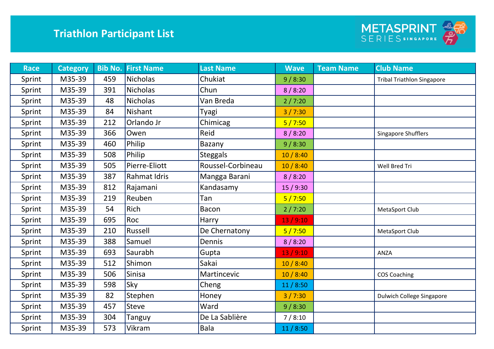

| <b>Race</b> | <b>Category</b> |     | <b>Bib No. First Name</b> | <b>Last Name</b>  | <b>Wave</b> | <b>Team Name</b> | <b>Club Name</b>                  |
|-------------|-----------------|-----|---------------------------|-------------------|-------------|------------------|-----------------------------------|
| Sprint      | M35-39          | 459 | <b>Nicholas</b>           | Chukiat           | 9/8:30      |                  | <b>Tribal Triathlon Singapore</b> |
| Sprint      | M35-39          | 391 | <b>Nicholas</b>           | Chun              | 8/8:20      |                  |                                   |
| Sprint      | M35-39          | 48  | <b>Nicholas</b>           | Van Breda         | 2/7:20      |                  |                                   |
| Sprint      | M35-39          | 84  | <b>Nishant</b>            | Tyagi             | 3 / 7:30    |                  |                                   |
| Sprint      | M35-39          | 212 | Orlando Jr                | Chimicag          | 5/7:50      |                  |                                   |
| Sprint      | M35-39          | 366 | Owen                      | Reid              | 8/8:20      |                  | Singapore Shufflers               |
| Sprint      | M35-39          | 460 | Philip                    | Bazany            | 9/8:30      |                  |                                   |
| Sprint      | M35-39          | 508 | Philip                    | <b>Steggals</b>   | 10/8:40     |                  |                                   |
| Sprint      | M35-39          | 505 | Pierre-Eliott             | Roussel-Corbineau | 10/8:40     |                  | Well Bred Tri                     |
| Sprint      | M35-39          | 387 | <b>Rahmat Idris</b>       | Mangga Barani     | 8/8:20      |                  |                                   |
| Sprint      | M35-39          | 812 | Rajamani                  | Kandasamy         | 15/9:30     |                  |                                   |
| Sprint      | M35-39          | 219 | Reuben                    | Tan               | 5/7:50      |                  |                                   |
| Sprint      | M35-39          | 54  | Rich                      | <b>Bacon</b>      | 2/7:20      |                  | MetaSport Club                    |
| Sprint      | M35-39          | 695 | Roc                       | Harry             | 13/9:10     |                  |                                   |
| Sprint      | M35-39          | 210 | Russell                   | De Chernatony     | 5/7:50      |                  | MetaSport Club                    |
| Sprint      | M35-39          | 388 | Samuel                    | <b>Dennis</b>     | 8/8:20      |                  |                                   |
| Sprint      | M35-39          | 693 | Saurabh                   | Gupta             | 13/9:10     |                  | ANZA                              |
| Sprint      | M35-39          | 512 | Shimon                    | Sakai             | 10/8:40     |                  |                                   |
| Sprint      | M35-39          | 506 | <b>Sinisa</b>             | Martincevic       | 10/8:40     |                  | <b>COS Coaching</b>               |
| Sprint      | M35-39          | 598 | Sky                       | Cheng             | 11/8:50     |                  |                                   |
| Sprint      | M35-39          | 82  | Stephen                   | Honey             | 3/7:30      |                  | <b>Dulwich College Singapore</b>  |
| Sprint      | M35-39          | 457 | <b>Steve</b>              | Ward              | 9/8:30      |                  |                                   |
| Sprint      | M35-39          | 304 | Tanguy                    | De La Sablière    | 7/8:10      |                  |                                   |
| Sprint      | M35-39          | 573 | Vikram                    | <b>Bala</b>       | 11/8:50     |                  |                                   |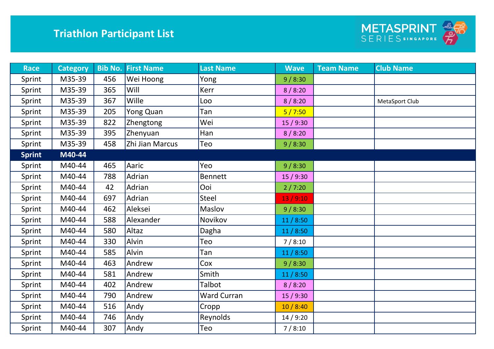

| <b>Race</b>   | <b>Category</b> | <b>Bib No.</b> | <b>First Name</b> | <b>Last Name</b>   | <b>Wave</b> | <b>Team Name</b> | <b>Club Name</b> |
|---------------|-----------------|----------------|-------------------|--------------------|-------------|------------------|------------------|
| Sprint        | M35-39          | 456            | Wei Hoong         | Yong               | 9/8:30      |                  |                  |
| Sprint        | M35-39          | 365            | Will              | Kerr               | 8/8:20      |                  |                  |
| Sprint        | M35-39          | 367            | Wille             | Loo                | 8/8:20      |                  | MetaSport Club   |
| Sprint        | M35-39          | 205            | Yong Quan         | Tan                | 5/7:50      |                  |                  |
| Sprint        | M35-39          | 822            | Zhengtong         | Wei                | 15/9:30     |                  |                  |
| Sprint        | M35-39          | 395            | Zhenyuan          | Han                | 8/8:20      |                  |                  |
| Sprint        | M35-39          | 458            | Zhi Jian Marcus   | Teo                | 9/8:30      |                  |                  |
| <b>Sprint</b> | M40-44          |                |                   |                    |             |                  |                  |
| Sprint        | M40-44          | 465            | Aaric             | Yeo                | 9/8:30      |                  |                  |
| Sprint        | M40-44          | 788            | Adrian            | <b>Bennett</b>     | 15 / 9:30   |                  |                  |
| Sprint        | M40-44          | 42             | Adrian            | Ooi                | 2/7:20      |                  |                  |
| Sprint        | M40-44          | 697            | Adrian            | Steel              | 13/9:10     |                  |                  |
| Sprint        | M40-44          | 462            | Aleksei           | Maslov             | 9/8:30      |                  |                  |
| Sprint        | M40-44          | 588            | Alexander         | Novikov            | 11/8:50     |                  |                  |
| Sprint        | M40-44          | 580            | Altaz             | Dagha              | 11/8:50     |                  |                  |
| Sprint        | M40-44          | 330            | Alvin             | Teo                | 7/8:10      |                  |                  |
| Sprint        | M40-44          | 585            | Alvin             | Tan                | 11/8:50     |                  |                  |
| Sprint        | M40-44          | 463            | Andrew            | Cox                | 9/8:30      |                  |                  |
| Sprint        | M40-44          | 581            | Andrew            | Smith              | 11/8:50     |                  |                  |
| Sprint        | M40-44          | 402            | Andrew            | Talbot             | 8/8:20      |                  |                  |
| Sprint        | M40-44          | 790            | Andrew            | <b>Ward Curran</b> | 15/9:30     |                  |                  |
| Sprint        | M40-44          | 516            | Andy              | Cropp              | 10/8:40     |                  |                  |
| Sprint        | M40-44          | 746            | Andy              | Reynolds           | 14/9:20     |                  |                  |
| Sprint        | M40-44          | 307            | Andy              | Teo                | 7/8:10      |                  |                  |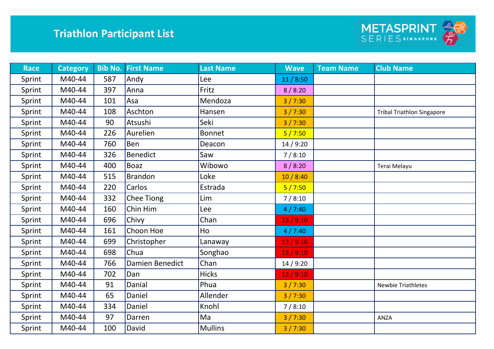

| <b>Race</b> | <b>Category</b> |     | <b>Bib No. First Name</b> | <b>Last Name</b> | <b>Wave</b> | <b>Team Name</b> | <b>Club Name</b>                  |
|-------------|-----------------|-----|---------------------------|------------------|-------------|------------------|-----------------------------------|
| Sprint      | M40-44          | 587 | Andy                      | Lee              | 11/8:50     |                  |                                   |
| Sprint      | M40-44          | 397 | Anna                      | Fritz            | 8/8:20      |                  |                                   |
| Sprint      | M40-44          | 101 | Asa                       | Mendoza          | 3/7:30      |                  |                                   |
| Sprint      | M40-44          | 108 | Aschton                   | Hansen           | 3/7:30      |                  | <b>Tribal Triathlon Singapore</b> |
| Sprint      | M40-44          | 90  | Atsushi                   | Seki             | 3/7:30      |                  |                                   |
| Sprint      | M40-44          | 226 | Aurelien                  | <b>Bonnet</b>    | 5/7:50      |                  |                                   |
| Sprint      | M40-44          | 760 | <b>Ben</b>                | Deacon           | 14/9:20     |                  |                                   |
| Sprint      | M40-44          | 326 | <b>Benedict</b>           | Saw              | 7/8:10      |                  |                                   |
| Sprint      | M40-44          | 400 | <b>Boaz</b>               | Wibowo           | 8/8:20      |                  | Terai Melayu                      |
| Sprint      | M40-44          | 515 | <b>Brandon</b>            | Loke             | 10/8:40     |                  |                                   |
| Sprint      | M40-44          | 220 | Carlos                    | Estrada          | 5/7:50      |                  |                                   |
| Sprint      | M40-44          | 332 | <b>Chee Tiong</b>         | Lim              | 7/8:10      |                  |                                   |
| Sprint      | M40-44          | 160 | Chin Him                  | Lee              | 4/7:40      |                  |                                   |
| Sprint      | M40-44          | 696 | Chivy                     | Chan             | 13/9:10     |                  |                                   |
| Sprint      | M40-44          | 161 | Choon Hoe                 | Ho               | 4/7:40      |                  |                                   |
| Sprint      | M40-44          | 699 | Christopher               | Lanaway          | 13/9:10     |                  |                                   |
| Sprint      | M40-44          | 698 | Chua                      | Songhao          | 13/9:10     |                  |                                   |
| Sprint      | M40-44          | 766 | Damien Benedict           | Chan             | 14/9:20     |                  |                                   |
| Sprint      | M40-44          | 702 | Dan                       | <b>Hicks</b>     | 13/9:10     |                  |                                   |
| Sprint      | M40-44          | 91  | Danial                    | Phua             | 3/7:30      |                  | <b>Newbie Triathletes</b>         |
| Sprint      | M40-44          | 65  | Daniel                    | Allender         | 3 / 7:30    |                  |                                   |
| Sprint      | M40-44          | 334 | Daniel                    | Knohl            | 7/8:10      |                  |                                   |
| Sprint      | M40-44          | 97  | Darren                    | Ma               | 3/7:30      |                  | ANZA                              |
| Sprint      | M40-44          | 100 | David                     | <b>Mullins</b>   | 3/7:30      |                  |                                   |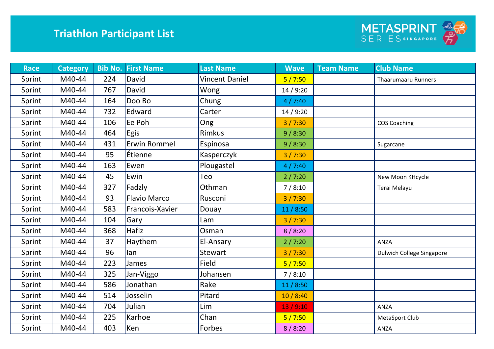

| <b>Race</b> | <b>Category</b> |     | <b>Bib No. First Name</b> | <b>Last Name</b>      | <b>Wave</b> | <b>Team Name</b> | <b>Club Name</b>           |
|-------------|-----------------|-----|---------------------------|-----------------------|-------------|------------------|----------------------------|
| Sprint      | M40-44          | 224 | David                     | <b>Vincent Daniel</b> | 5/7:50      |                  | <b>Thaarumaaru Runners</b> |
| Sprint      | M40-44          | 767 | David                     | Wong                  | 14/9:20     |                  |                            |
| Sprint      | M40-44          | 164 | Doo Bo                    | Chung                 | 4/7:40      |                  |                            |
| Sprint      | M40-44          | 732 | Edward                    | Carter                | 14/9:20     |                  |                            |
| Sprint      | M40-44          | 106 | Ee Poh                    | Ong                   | 3/7:30      |                  | <b>COS Coaching</b>        |
| Sprint      | M40-44          | 464 | Egis                      | Rimkus                | 9/8:30      |                  |                            |
| Sprint      | M40-44          | 431 | <b>Erwin Rommel</b>       | Espinosa              | 9/8:30      |                  | Sugarcane                  |
| Sprint      | M40-44          | 95  | Étienne                   | Kasperczyk            | 3/7:30      |                  |                            |
| Sprint      | M40-44          | 163 | Ewen                      | Plougastel            | 4/7:40      |                  |                            |
| Sprint      | M40-44          | 45  | Ewin                      | Teo                   | 2/7:20      |                  | New Moon KHcycle           |
| Sprint      | M40-44          | 327 | Fadzly                    | Othman                | 7/8:10      |                  | Terai Melayu               |
| Sprint      | M40-44          | 93  | <b>Flavio Marco</b>       | Rusconi               | 3/7:30      |                  |                            |
| Sprint      | M40-44          | 583 | Francois-Xavier           | Douay                 | 11/8:50     |                  |                            |
| Sprint      | M40-44          | 104 | Gary                      | Lam                   | 3/7:30      |                  |                            |
| Sprint      | M40-44          | 368 | Hafiz                     | Osman                 | 8/8:20      |                  |                            |
| Sprint      | M40-44          | 37  | Haythem                   | El-Ansary             | 2/7:20      |                  | ANZA                       |
| Sprint      | M40-44          | 96  | lan                       | Stewart               | 3/7:30      |                  | Dulwich College Singapore  |
| Sprint      | M40-44          | 223 | James                     | Field                 | 5/7:50      |                  |                            |
| Sprint      | M40-44          | 325 | Jan-Viggo                 | Johansen              | 7/8:10      |                  |                            |
| Sprint      | M40-44          | 586 | Jonathan                  | Rake                  | 11/8:50     |                  |                            |
| Sprint      | M40-44          | 514 | Josselin                  | Pitard                | 10/8:40     |                  |                            |
| Sprint      | M40-44          | 704 | Julian                    | Lim                   | 13/9:10     |                  | ANZA                       |
| Sprint      | M40-44          | 225 | Karhoe                    | Chan                  | 5/7:50      |                  | MetaSport Club             |
| Sprint      | M40-44          | 403 | Ken                       | Forbes                | 8/8:20      |                  | ANZA                       |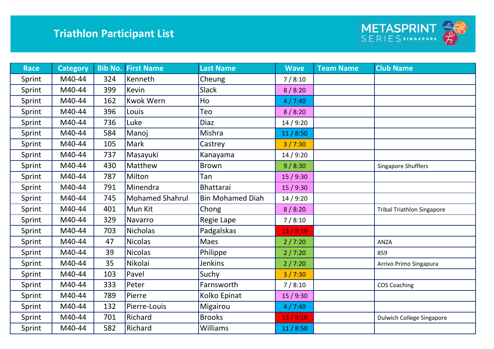

| <b>Race</b> | <b>Category</b> |     | <b>Bib No. First Name</b> | <b>Last Name</b>        | <b>Wave</b> | <b>Team Name</b> | <b>Club Name</b>                  |
|-------------|-----------------|-----|---------------------------|-------------------------|-------------|------------------|-----------------------------------|
| Sprint      | M40-44          | 324 | Kenneth                   | Cheung                  | 7/8:10      |                  |                                   |
| Sprint      | M40-44          | 399 | <b>Kevin</b>              | <b>Slack</b>            | 8/8:20      |                  |                                   |
| Sprint      | M40-44          | 162 | <b>Kwok Wern</b>          | Ho                      | 4/7:40      |                  |                                   |
| Sprint      | M40-44          | 396 | Louis                     | Teo                     | 8/8:20      |                  |                                   |
| Sprint      | M40-44          | 736 | Luke                      | <b>Diaz</b>             | 14/9:20     |                  |                                   |
| Sprint      | M40-44          | 584 | Manoj                     | Mishra                  | 11/8:50     |                  |                                   |
| Sprint      | M40-44          | 105 | Mark                      | Castrey                 | 3/7:30      |                  |                                   |
| Sprint      | M40-44          | 737 | Masayuki                  | Kanayama                | 14/9:20     |                  |                                   |
| Sprint      | M40-44          | 430 | Matthew                   | <b>Brown</b>            | 9/8:30      |                  | Singapore Shufflers               |
| Sprint      | M40-44          | 787 | Milton                    | Tan                     | 15/9:30     |                  |                                   |
| Sprint      | M40-44          | 791 | Minendra                  | <b>Bhattarai</b>        | 15/9:30     |                  |                                   |
| Sprint      | M40-44          | 745 | <b>Mohamed Shahrul</b>    | <b>Bin Mohamed Diah</b> | 14/9:20     |                  |                                   |
| Sprint      | M40-44          | 401 | Mun Kit                   | Chong                   | 8/8:20      |                  | <b>Tribal Triathlon Singapore</b> |
| Sprint      | M40-44          | 329 | Navarro                   | Regie Lape              | 7/8:10      |                  |                                   |
| Sprint      | M40-44          | 703 | <b>Nicholas</b>           | Padgalskas              | 13/9:10     |                  |                                   |
| Sprint      | M40-44          | 47  | <b>Nicolas</b>            | <b>Maes</b>             | 2/7:20      |                  | ANZA                              |
| Sprint      | M40-44          | 39  | <b>Nicolas</b>            | Philippe                | 2/7:20      |                  | 859                               |
| Sprint      | M40-44          | 35  | Nikolai                   | Jenkins                 | 2/7:20      |                  | Arrivo Primo Singapura            |
| Sprint      | M40-44          | 103 | Pavel                     | Suchy                   | 3/7:30      |                  |                                   |
| Sprint      | M40-44          | 333 | Peter                     | Farnsworth              | 7/8:10      |                  | <b>COS Coaching</b>               |
| Sprint      | M40-44          | 789 | Pierre                    | Kolko Epinat            | 15/9:30     |                  |                                   |
| Sprint      | M40-44          | 132 | Pierre-Louis              | Migairou                | 4/7:40      |                  |                                   |
| Sprint      | M40-44          | 701 | Richard                   | <b>Brooks</b>           | 13/9:10     |                  | <b>Dulwich College Singapore</b>  |
| Sprint      | M40-44          | 582 | Richard                   | <b>Williams</b>         | 11/8:50     |                  |                                   |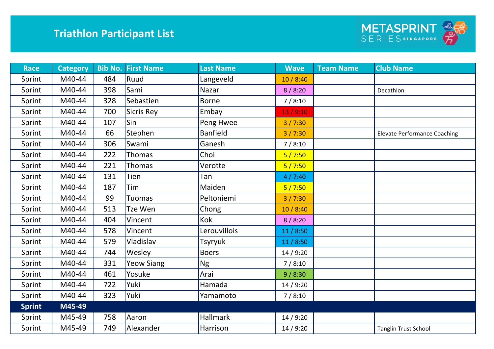

| <b>Race</b>   | <b>Category</b> |     | <b>Bib No. First Name</b> | <b>Last Name</b> | <b>Wave</b> | <b>Team Name</b> | <b>Club Name</b>                    |
|---------------|-----------------|-----|---------------------------|------------------|-------------|------------------|-------------------------------------|
| Sprint        | M40-44          | 484 | Ruud                      | Langeveld        | 10/8:40     |                  |                                     |
| Sprint        | M40-44          | 398 | Sami                      | Nazar            | 8/8:20      |                  | Decathlon                           |
| Sprint        | M40-44          | 328 | Sebastien                 | <b>Borne</b>     | 7/8:10      |                  |                                     |
| Sprint        | M40-44          | 700 | Sicris Rey                | Embay            | 13/9:10     |                  |                                     |
| Sprint        | M40-44          | 107 | Sin                       | Peng Hwee        | 3/7:30      |                  |                                     |
| Sprint        | M40-44          | 66  | Stephen                   | <b>Banfield</b>  | 3/7:30      |                  | <b>Elevate Performance Coaching</b> |
| Sprint        | M40-44          | 306 | Swami                     | Ganesh           | 7/8:10      |                  |                                     |
| Sprint        | M40-44          | 222 | Thomas                    | Choi             | 5/7:50      |                  |                                     |
| Sprint        | M40-44          | 221 | Thomas                    | Verotte          | 5/7:50      |                  |                                     |
| Sprint        | M40-44          | 131 | Tien                      | Tan              | 4/7:40      |                  |                                     |
| Sprint        | M40-44          | 187 | Tim                       | Maiden           | 5/7:50      |                  |                                     |
| Sprint        | M40-44          | 99  | <b>Tuomas</b>             | Peltoniemi       | 3/7:30      |                  |                                     |
| Sprint        | M40-44          | 513 | Tze Wen                   | Chong            | 10/8:40     |                  |                                     |
| Sprint        | M40-44          | 404 | Vincent                   | Kok              | 8/8:20      |                  |                                     |
| Sprint        | M40-44          | 578 | Vincent                   | Lerouvillois     | 11/8:50     |                  |                                     |
| Sprint        | M40-44          | 579 | Vladislav                 | Tsyryuk          | 11/8:50     |                  |                                     |
| Sprint        | M40-44          | 744 | Wesley                    | <b>Boers</b>     | 14/9:20     |                  |                                     |
| Sprint        | M40-44          | 331 | <b>Yeow Siang</b>         | <b>Ng</b>        | 7/8:10      |                  |                                     |
| Sprint        | M40-44          | 461 | Yosuke                    | Arai             | 9/8:30      |                  |                                     |
| Sprint        | M40-44          | 722 | Yuki                      | Hamada           | 14/9:20     |                  |                                     |
| Sprint        | M40-44          | 323 | Yuki                      | Yamamoto         | 7/8:10      |                  |                                     |
| <b>Sprint</b> | M45-49          |     |                           |                  |             |                  |                                     |
| Sprint        | M45-49          | 758 | Aaron                     | <b>Hallmark</b>  | 14/9:20     |                  |                                     |
| Sprint        | M45-49          | 749 | Alexander                 | Harrison         | 14/9:20     |                  | <b>Tanglin Trust School</b>         |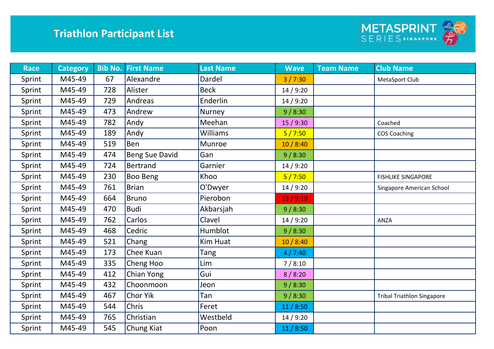

| <b>Race</b> | <b>Category</b> |     | <b>Bib No. First Name</b> | <b>Last Name</b> | <b>Wave</b> | <b>Team Name</b> | <b>Club Name</b>                  |
|-------------|-----------------|-----|---------------------------|------------------|-------------|------------------|-----------------------------------|
| Sprint      | M45-49          | 67  | Alexandre                 | Dardel           | 3/7:30      |                  | MetaSport Club                    |
| Sprint      | M45-49          | 728 | Alister                   | <b>Beck</b>      | 14/9:20     |                  |                                   |
| Sprint      | M45-49          | 729 | Andreas                   | Enderlin         | 14/9:20     |                  |                                   |
| Sprint      | M45-49          | 473 | Andrew                    | Nurney           | 9/8:30      |                  |                                   |
| Sprint      | M45-49          | 782 | Andy                      | Meehan           | 15/9:30     |                  | Coached                           |
| Sprint      | M45-49          | 189 | Andy                      | Williams         | 5/7:50      |                  | <b>COS Coaching</b>               |
| Sprint      | M45-49          | 519 | Ben                       | Munroe           | 10/8:40     |                  |                                   |
| Sprint      | M45-49          | 474 | <b>Beng Sue David</b>     | Gan              | 9/8:30      |                  |                                   |
| Sprint      | M45-49          | 724 | <b>Bertrand</b>           | Garnier          | 14/9:20     |                  |                                   |
| Sprint      | M45-49          | 230 | Boo Beng                  | Khoo             | 5/7:50      |                  | <b>FISHLIKE SINGAPORE</b>         |
| Sprint      | M45-49          | 761 | <b>Brian</b>              | O'Dwyer          | 14/9:20     |                  | Singapore American School         |
| Sprint      | M45-49          | 664 | <b>Bruno</b>              | Pierobon         | 13/9:10     |                  |                                   |
| Sprint      | M45-49          | 470 | <b>Budi</b>               | Akbarsjah        | 9/8:30      |                  |                                   |
| Sprint      | M45-49          | 762 | Carlos                    | Clavel           | 14/9:20     |                  | ANZA                              |
| Sprint      | M45-49          | 468 | Cedric                    | Humblot          | 9/8:30      |                  |                                   |
| Sprint      | M45-49          | 521 | Chang                     | <b>Kim Huat</b>  | 10/8:40     |                  |                                   |
| Sprint      | M45-49          | 173 | Chee Kuan                 | Tang             | 4/7:40      |                  |                                   |
| Sprint      | M45-49          | 335 | Cheng Hoo                 | Lim              | 7/8:10      |                  |                                   |
| Sprint      | M45-49          | 412 | Chian Yong                | Gui              | 8/8:20      |                  |                                   |
| Sprint      | M45-49          | 432 | Choonmoon                 | Jeon             | 9/8:30      |                  |                                   |
| Sprint      | M45-49          | 467 | Chor Yik                  | Tan              | 9/8:30      |                  | <b>Tribal Triathlon Singapore</b> |
| Sprint      | M45-49          | 544 | <b>Chris</b>              | Feret            | 11/8:50     |                  |                                   |
| Sprint      | M45-49          | 765 | Christian                 | Westbeld         | 14/9:20     |                  |                                   |
| Sprint      | M45-49          | 545 | Chung Kiat                | Poon             | 11/8:50     |                  |                                   |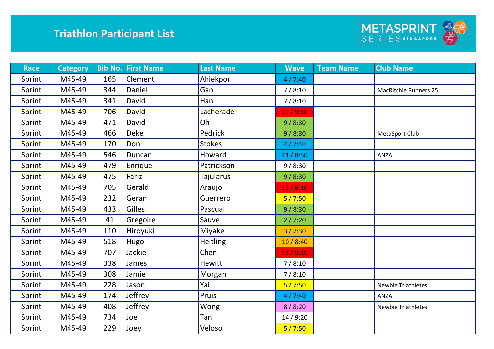

| <b>Race</b> | <b>Category</b> | <b>Bib No.</b> | <b>First Name</b> | <b>Last Name</b> | <b>Wave</b> | <b>Team Name</b> | <b>Club Name</b>             |
|-------------|-----------------|----------------|-------------------|------------------|-------------|------------------|------------------------------|
| Sprint      | M45-49          | 165            | Clement           | Ahiekpor         | 4/7:40      |                  |                              |
| Sprint      | M45-49          | 344            | Daniel            | Gan              | 7/8:10      |                  | <b>MacRitchie Runners 25</b> |
| Sprint      | M45-49          | 341            | David             | Han              | 7/8:10      |                  |                              |
| Sprint      | M45-49          | 706            | David             | Lacherade        | 13/9:10     |                  |                              |
| Sprint      | M45-49          | 471            | David             | Oh               | 9/8:30      |                  |                              |
| Sprint      | M45-49          | 466            | <b>Deke</b>       | Pedrick          | 9/8:30      |                  | MetaSport Club               |
| Sprint      | M45-49          | 170            | Don               | <b>Stokes</b>    | 4/7:40      |                  |                              |
| Sprint      | M45-49          | 546            | Duncan            | Howard           | 11/8:50     |                  | ANZA                         |
| Sprint      | M45-49          | 479            | Enrique           | Patrickson       | 9/8:30      |                  |                              |
| Sprint      | M45-49          | 475            | Fariz             | Tajularus        | 9/8:30      |                  |                              |
| Sprint      | M45-49          | 705            | Gerald            | Araujo           | 13/9:10     |                  |                              |
| Sprint      | M45-49          | 232            | Geran             | Guerrero         | 5/7:50      |                  |                              |
| Sprint      | M45-49          | 433            | <b>Gilles</b>     | Pascual          | 9/8:30      |                  |                              |
| Sprint      | M45-49          | 41             | Gregoire          | Sauve            | 2/7:20      |                  |                              |
| Sprint      | M45-49          | 110            | Hiroyuki          | Miyake           | 3/7:30      |                  |                              |
| Sprint      | M45-49          | 518            | Hugo              | <b>Heitling</b>  | 10/8:40     |                  |                              |
| Sprint      | M45-49          | 707            | Jackie            | Chen             | 13/9:10     |                  |                              |
| Sprint      | M45-49          | 338            | James             | <b>Hewitt</b>    | 7/8:10      |                  |                              |
| Sprint      | M45-49          | 308            | Jamie             | Morgan           | 7/8:10      |                  |                              |
| Sprint      | M45-49          | 228            | Jason             | Yai              | 5/7:50      |                  | <b>Newbie Triathletes</b>    |
| Sprint      | M45-49          | 174            | Jeffrey           | Pruis            | 4/7:40      |                  | ANZA                         |
| Sprint      | M45-49          | 408            | Jeffrey           | Wong             | 8/8:20      |                  | <b>Newbie Triathletes</b>    |
| Sprint      | M45-49          | 734            | Joe               | Tan              | 14/9:20     |                  |                              |
| Sprint      | M45-49          | 229            | Joey              | Veloso           | 5/7:50      |                  |                              |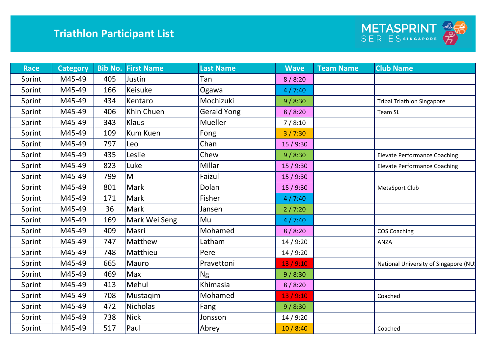

| <b>Race</b> | <b>Category</b> |     | <b>Bib No. First Name</b> | <b>Last Name</b>   | <b>Wave</b> | <b>Team Name</b> | <b>Club Name</b>                      |
|-------------|-----------------|-----|---------------------------|--------------------|-------------|------------------|---------------------------------------|
| Sprint      | M45-49          | 405 | Justin                    | Tan                | 8/8:20      |                  |                                       |
| Sprint      | M45-49          | 166 | Keisuke                   | Ogawa              | 4/7:40      |                  |                                       |
| Sprint      | M45-49          | 434 | Kentaro                   | Mochizuki          | 9/8:30      |                  | <b>Tribal Triathlon Singapore</b>     |
| Sprint      | M45-49          | 406 | Khin Chuen                | <b>Gerald Yong</b> | 8/8:20      |                  | Team SL                               |
| Sprint      | M45-49          | 343 | Klaus                     | Mueller            | 7/8:10      |                  |                                       |
| Sprint      | M45-49          | 109 | <b>Kum Kuen</b>           | Fong               | 3/7:30      |                  |                                       |
| Sprint      | M45-49          | 797 | Leo                       | Chan               | 15/9:30     |                  |                                       |
| Sprint      | M45-49          | 435 | Leslie                    | Chew               | 9/8:30      |                  | <b>Elevate Performance Coaching</b>   |
| Sprint      | M45-49          | 823 | Luke                      | Millar             | 15 / 9:30   |                  | <b>Elevate Performance Coaching</b>   |
| Sprint      | M45-49          | 799 | M                         | Faizul             | 15/9:30     |                  |                                       |
| Sprint      | M45-49          | 801 | Mark                      | Dolan              | 15/9:30     |                  | MetaSport Club                        |
| Sprint      | M45-49          | 171 | Mark                      | Fisher             | 4/7:40      |                  |                                       |
| Sprint      | M45-49          | 36  | Mark                      | Jansen             | 2/7:20      |                  |                                       |
| Sprint      | M45-49          | 169 | Mark Wei Seng             | Mu                 | 4/7:40      |                  |                                       |
| Sprint      | M45-49          | 409 | Masri                     | Mohamed            | 8/8:20      |                  | <b>COS Coaching</b>                   |
| Sprint      | M45-49          | 747 | Matthew                   | Latham             | 14 / 9:20   |                  | ANZA                                  |
| Sprint      | M45-49          | 748 | Matthieu                  | Pere               | 14/9:20     |                  |                                       |
| Sprint      | M45-49          | 665 | Mauro                     | Pravettoni         | 13/9:10     |                  | National University of Singapore (NU! |
| Sprint      | M45-49          | 469 | Max                       | <b>Ng</b>          | 9/8:30      |                  |                                       |
| Sprint      | M45-49          | 413 | Mehul                     | Khimasia           | 8/8:20      |                  |                                       |
| Sprint      | M45-49          | 708 | Mustagim                  | Mohamed            | 13/9:10     |                  | Coached                               |
| Sprint      | M45-49          | 472 | <b>Nicholas</b>           | Fang               | 9/8:30      |                  |                                       |
| Sprint      | M45-49          | 738 | <b>Nick</b>               | Jonsson            | 14/9:20     |                  |                                       |
| Sprint      | M45-49          | 517 | Paul                      | Abrey              | 10/8:40     |                  | Coached                               |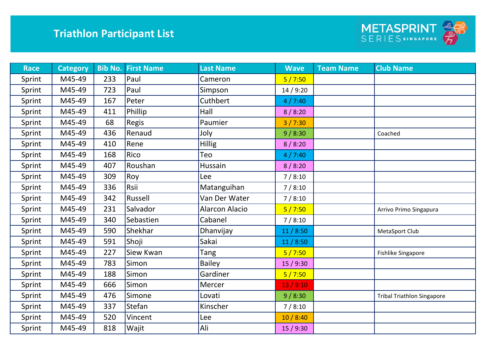

| <b>Race</b> | <b>Category</b> |     | <b>Bib No. First Name</b> | <b>Last Name</b>      | <b>Wave</b> | <b>Team Name</b> | <b>Club Name</b>                  |
|-------------|-----------------|-----|---------------------------|-----------------------|-------------|------------------|-----------------------------------|
| Sprint      | M45-49          | 233 | Paul                      | Cameron               | 5/7:50      |                  |                                   |
| Sprint      | M45-49          | 723 | Paul                      | Simpson               | 14/9:20     |                  |                                   |
| Sprint      | M45-49          | 167 | Peter                     | Cuthbert              | 4/7:40      |                  |                                   |
| Sprint      | M45-49          | 411 | Phillip                   | Hall                  | 8/8:20      |                  |                                   |
| Sprint      | M45-49          | 68  | Regis                     | Paumier               | 3/7:30      |                  |                                   |
| Sprint      | M45-49          | 436 | Renaud                    | Joly                  | 9/8:30      |                  | Coached                           |
| Sprint      | M45-49          | 410 | Rene                      | <b>Hillig</b>         | 8/8:20      |                  |                                   |
| Sprint      | M45-49          | 168 | Rico                      | Teo                   | 4/7:40      |                  |                                   |
| Sprint      | M45-49          | 407 | Roushan                   | Hussain               | 8/8:20      |                  |                                   |
| Sprint      | M45-49          | 309 | Roy                       | Lee                   | 7/8:10      |                  |                                   |
| Sprint      | M45-49          | 336 | Rsii                      | Matanguihan           | 7/8:10      |                  |                                   |
| Sprint      | M45-49          | 342 | Russell                   | Van Der Water         | 7/8:10      |                  |                                   |
| Sprint      | M45-49          | 231 | Salvador                  | <b>Alarcon Alacio</b> | 5/7:50      |                  | Arrivo Primo Singapura            |
| Sprint      | M45-49          | 340 | Sebastien                 | Cabanel               | 7/8:10      |                  |                                   |
| Sprint      | M45-49          | 590 | Shekhar                   | Dhanvijay             | 11/8:50     |                  | MetaSport Club                    |
| Sprint      | M45-49          | 591 | Shoji                     | Sakai                 | 11/8:50     |                  |                                   |
| Sprint      | M45-49          | 227 | Siew Kwan                 | Tang                  | 5/7:50      |                  | Fishlike Singapore                |
| Sprint      | M45-49          | 783 | Simon                     | <b>Bailey</b>         | 15/9:30     |                  |                                   |
| Sprint      | M45-49          | 188 | Simon                     | Gardiner              | 5/7:50      |                  |                                   |
| Sprint      | M45-49          | 666 | Simon                     | Mercer                | 13/9:10     |                  |                                   |
| Sprint      | M45-49          | 476 | Simone                    | Lovati                | 9/8:30      |                  | <b>Tribal Triathlon Singapore</b> |
| Sprint      | M45-49          | 337 | Stefan                    | Kinscher              | 7/8:10      |                  |                                   |
| Sprint      | M45-49          | 520 | Vincent                   | Lee                   | 10/8:40     |                  |                                   |
| Sprint      | M45-49          | 818 | Wajit                     | Ali                   | 15/9:30     |                  |                                   |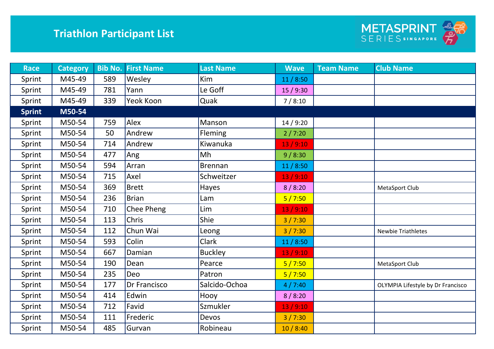

| <b>Race</b>   | <b>Category</b> | <b>Bib No.</b> | <b>First Name</b> | <b>Last Name</b> | <b>Wave</b> | <b>Team Name</b> | <b>Club Name</b>                  |
|---------------|-----------------|----------------|-------------------|------------------|-------------|------------------|-----------------------------------|
| Sprint        | M45-49          | 589            | Wesley            | Kim              | 11/8:50     |                  |                                   |
| Sprint        | M45-49          | 781            | Yann              | Le Goff          | 15/9:30     |                  |                                   |
| Sprint        | M45-49          | 339            | Yeok Koon         | Quak             | 7/8:10      |                  |                                   |
| <b>Sprint</b> | M50-54          |                |                   |                  |             |                  |                                   |
| Sprint        | M50-54          | 759            | Alex              | Manson           | 14/9:20     |                  |                                   |
| Sprint        | M50-54          | 50             | Andrew            | Fleming          | 2/7:20      |                  |                                   |
| Sprint        | M50-54          | 714            | Andrew            | Kiwanuka         | 13/9:10     |                  |                                   |
| Sprint        | M50-54          | 477            | Ang               | Mh               | 9/8:30      |                  |                                   |
| Sprint        | M50-54          | 594            | Arran             | <b>Brennan</b>   | 11/8:50     |                  |                                   |
| Sprint        | M50-54          | 715            | Axel              | Schweitzer       | 13/9:10     |                  |                                   |
| Sprint        | M50-54          | 369            | <b>Brett</b>      | Hayes            | 8/8:20      |                  | MetaSport Club                    |
| Sprint        | M50-54          | 236            | <b>Brian</b>      | Lam              | 5/7:50      |                  |                                   |
| Sprint        | M50-54          | 710            | Chee Pheng        | Lim              | 13/9:10     |                  |                                   |
| Sprint        | M50-54          | 113            | Chris             | Shie             | 3/7:30      |                  |                                   |
| Sprint        | M50-54          | 112            | Chun Wai          | Leong            | 3/7:30      |                  | <b>Newbie Triathletes</b>         |
| Sprint        | M50-54          | 593            | Colin             | Clark            | 11/8:50     |                  |                                   |
| Sprint        | M50-54          | 667            | Damian            | <b>Buckley</b>   | 13/9:10     |                  |                                   |
| Sprint        | M50-54          | 190            | Dean              | Pearce           | 5/7:50      |                  | MetaSport Club                    |
| Sprint        | M50-54          | 235            | Deo               | Patron           | 5/7:50      |                  |                                   |
| Sprint        | M50-54          | 177            | Dr Francisco      | Salcido-Ochoa    | 4/7:40      |                  | OLYMPIA Lifestyle by Dr Francisco |
| Sprint        | M50-54          | 414            | Edwin             | Hooy             | 8/8:20      |                  |                                   |
| Sprint        | M50-54          | 712            | Favid             | Szmukler         | 13/9:10     |                  |                                   |
| Sprint        | M50-54          | 111            | Frederic          | Devos            | 3/7:30      |                  |                                   |
| Sprint        | M50-54          | 485            | Gurvan            | Robineau         | 10/8:40     |                  |                                   |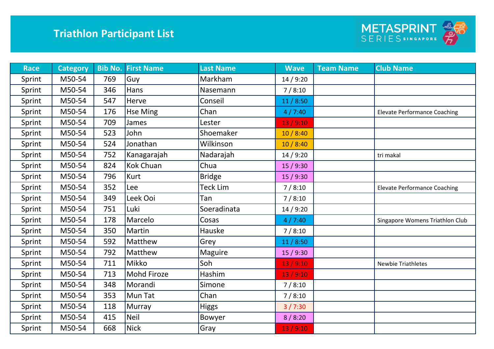

| <b>Race</b> | <b>Category</b> |     | <b>Bib No. First Name</b> | <b>Last Name</b> | <b>Wave</b> | <b>Team Name</b> | <b>Club Name</b>                    |
|-------------|-----------------|-----|---------------------------|------------------|-------------|------------------|-------------------------------------|
| Sprint      | M50-54          | 769 | Guy                       | Markham          | 14/9:20     |                  |                                     |
| Sprint      | M50-54          | 346 | Hans                      | Nasemann         | 7/8:10      |                  |                                     |
| Sprint      | M50-54          | 547 | Herve                     | Conseil          | 11/8:50     |                  |                                     |
| Sprint      | M50-54          | 176 | <b>Hse Ming</b>           | Chan             | 4/7:40      |                  | <b>Elevate Performance Coaching</b> |
| Sprint      | M50-54          | 709 | James                     | Lester           | 13/9:10     |                  |                                     |
| Sprint      | M50-54          | 523 | John                      | Shoemaker        | 10/8:40     |                  |                                     |
| Sprint      | M50-54          | 524 | Jonathan                  | Wilkinson        | 10/8:40     |                  |                                     |
| Sprint      | M50-54          | 752 | Kanagarajah               | Nadarajah        | 14/9:20     |                  | tri makal                           |
| Sprint      | M50-54          | 824 | <b>Kok Chuan</b>          | Chua             | 15/9:30     |                  |                                     |
| Sprint      | M50-54          | 796 | <b>Kurt</b>               | <b>Bridge</b>    | 15/9:30     |                  |                                     |
| Sprint      | M50-54          | 352 | Lee                       | Teck Lim         | 7/8:10      |                  | <b>Elevate Performance Coaching</b> |
| Sprint      | M50-54          | 349 | Leek Ooi                  | Tan              | 7/8:10      |                  |                                     |
| Sprint      | M50-54          | 751 | Luki                      | Soeradinata      | 14/9:20     |                  |                                     |
| Sprint      | M50-54          | 178 | Marcelo                   | Cosas            | 4/7:40      |                  | Singapore Womens Triathlon Club     |
| Sprint      | M50-54          | 350 | Martin                    | Hauske           | 7/8:10      |                  |                                     |
| Sprint      | M50-54          | 592 | Matthew                   | Grey             | 11/8:50     |                  |                                     |
| Sprint      | M50-54          | 792 | Matthew                   | <b>Maguire</b>   | 15/9:30     |                  |                                     |
| Sprint      | M50-54          | 711 | Mikko                     | Soh              | 13/9:10     |                  | <b>Newbie Triathletes</b>           |
| Sprint      | M50-54          | 713 | <b>Mohd Firoze</b>        | Hashim           | 13/9:10     |                  |                                     |
| Sprint      | M50-54          | 348 | Morandi                   | Simone           | 7/8:10      |                  |                                     |
| Sprint      | M50-54          | 353 | Mun Tat                   | Chan             | 7/8:10      |                  |                                     |
| Sprint      | M50-54          | 118 | Murray                    | <b>Higgs</b>     | 3/7:30      |                  |                                     |
| Sprint      | M50-54          | 415 | <b>Neil</b>               | Bowyer           | 8/8:20      |                  |                                     |
| Sprint      | M50-54          | 668 | <b>Nick</b>               | Gray             | 13/9:10     |                  |                                     |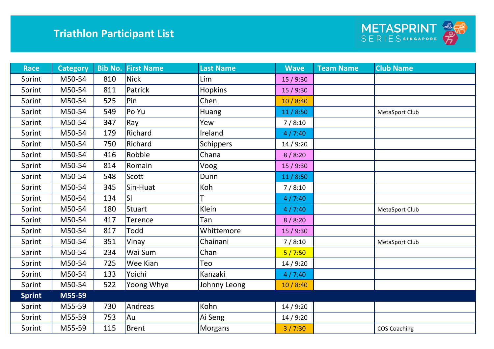

| <b>Race</b>   | <b>Category</b> |     | <b>Bib No. First Name</b> | <b>Last Name</b> | <b>Wave</b> | <b>Team Name</b> | <b>Club Name</b>    |
|---------------|-----------------|-----|---------------------------|------------------|-------------|------------------|---------------------|
| Sprint        | M50-54          | 810 | <b>Nick</b>               | Lim              | 15/9:30     |                  |                     |
| Sprint        | M50-54          | 811 | Patrick                   | <b>Hopkins</b>   | 15/9:30     |                  |                     |
| Sprint        | M50-54          | 525 | Pin                       | Chen             | 10/8:40     |                  |                     |
| Sprint        | M50-54          | 549 | Po Yu                     | Huang            | 11/8:50     |                  | MetaSport Club      |
| Sprint        | M50-54          | 347 | Ray                       | Yew              | 7/8:10      |                  |                     |
| Sprint        | M50-54          | 179 | Richard                   | Ireland          | 4/7:40      |                  |                     |
| Sprint        | M50-54          | 750 | Richard                   | <b>Schippers</b> | 14/9:20     |                  |                     |
| Sprint        | M50-54          | 416 | Robbie                    | Chana            | 8/8:20      |                  |                     |
| Sprint        | M50-54          | 814 | Romain                    | Voog             | 15/9:30     |                  |                     |
| Sprint        | M50-54          | 548 | Scott                     | Dunn             | 11/8:50     |                  |                     |
| Sprint        | M50-54          | 345 | Sin-Huat                  | Koh              | 7/8:10      |                  |                     |
| Sprint        | M50-54          | 134 | SI                        |                  | 4/7:40      |                  |                     |
| Sprint        | M50-54          | 180 | <b>Stuart</b>             | Klein            | 4/7:40      |                  | MetaSport Club      |
| Sprint        | M50-54          | 417 | Terence                   | Tan              | 8/8:20      |                  |                     |
| Sprint        | M50-54          | 817 | Todd                      | Whittemore       | 15/9:30     |                  |                     |
| Sprint        | M50-54          | 351 | Vinay                     | Chainani         | 7/8:10      |                  | MetaSport Club      |
| Sprint        | M50-54          | 234 | Wai Sum                   | Chan             | 5/7:50      |                  |                     |
| Sprint        | M50-54          | 725 | Wee Kian                  | Teo              | 14/9:20     |                  |                     |
| Sprint        | M50-54          | 133 | Yoichi                    | Kanzaki          | 4/7:40      |                  |                     |
| Sprint        | M50-54          | 522 | Yoong Whye                | Johnny Leong     | 10/8:40     |                  |                     |
| <b>Sprint</b> | M55-59          |     |                           |                  |             |                  |                     |
| Sprint        | M55-59          | 730 | Andreas                   | Kohn             | 14 / 9:20   |                  |                     |
| Sprint        | M55-59          | 753 | Au                        | Ai Seng          | 14/9:20     |                  |                     |
| Sprint        | M55-59          | 115 | <b>Brent</b>              | Morgans          | 3 / 7:30    |                  | <b>COS Coaching</b> |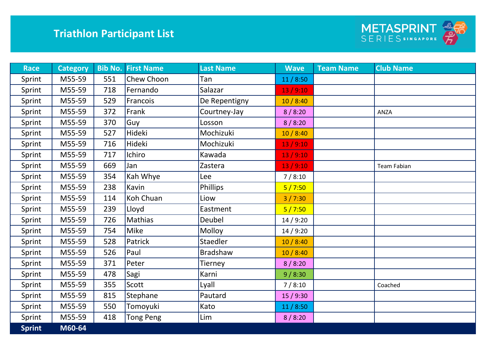

| <b>Race</b>   | <b>Category</b> |     | <b>Bib No. First Name</b> | <b>Last Name</b> | <b>Wave</b> | <b>Team Name</b> | <b>Club Name</b>   |
|---------------|-----------------|-----|---------------------------|------------------|-------------|------------------|--------------------|
| Sprint        | M55-59          | 551 | Chew Choon                | Tan              | 11/8:50     |                  |                    |
| Sprint        | M55-59          | 718 | Fernando                  | Salazar          | 13/9:10     |                  |                    |
| Sprint        | M55-59          | 529 | Francois                  | De Repentigny    | 10/8:40     |                  |                    |
| Sprint        | M55-59          | 372 | Frank                     | Courtney-Jay     | 8/8:20      |                  | <b>ANZA</b>        |
| Sprint        | M55-59          | 370 | Guy                       | Losson           | 8/8:20      |                  |                    |
| Sprint        | M55-59          | 527 | Hideki                    | Mochizuki        | 10/8:40     |                  |                    |
| Sprint        | M55-59          | 716 | Hideki                    | Mochizuki        | 13/9:10     |                  |                    |
| Sprint        | M55-59          | 717 | Ichiro                    | Kawada           | 13/9:10     |                  |                    |
| Sprint        | M55-59          | 669 | Jan                       | Zastera          | 13/9:10     |                  | <b>Team Fabian</b> |
| Sprint        | M55-59          | 354 | Kah Whye                  | Lee              | 7/8:10      |                  |                    |
| Sprint        | M55-59          | 238 | Kavin                     | Phillips         | 5/7:50      |                  |                    |
| Sprint        | M55-59          | 114 | Koh Chuan                 | Liow             | 3/7:30      |                  |                    |
| Sprint        | M55-59          | 239 | Lloyd                     | Eastment         | 5/7:50      |                  |                    |
| Sprint        | M55-59          | 726 | Mathias                   | Deubel           | 14/9:20     |                  |                    |
| Sprint        | M55-59          | 754 | Mike                      | Molloy           | 14/9:20     |                  |                    |
| Sprint        | M55-59          | 528 | Patrick                   | Staedler         | 10/8:40     |                  |                    |
| Sprint        | M55-59          | 526 | Paul                      | <b>Bradshaw</b>  | 10/8:40     |                  |                    |
| Sprint        | M55-59          | 371 | Peter                     | Tierney          | 8/8:20      |                  |                    |
| Sprint        | M55-59          | 478 | Sagi                      | Karni            | 9/8:30      |                  |                    |
| Sprint        | M55-59          | 355 | Scott                     | Lyall            | 7/8:10      |                  | Coached            |
| Sprint        | M55-59          | 815 | Stephane                  | Pautard          | 15/9:30     |                  |                    |
| Sprint        | M55-59          | 550 | Tomoyuki                  | Kato             | 11/8:50     |                  |                    |
| Sprint        | M55-59          | 418 | <b>Tong Peng</b>          | Lim              | 8/8:20      |                  |                    |
| <b>Sprint</b> | M60-64          |     |                           |                  |             |                  |                    |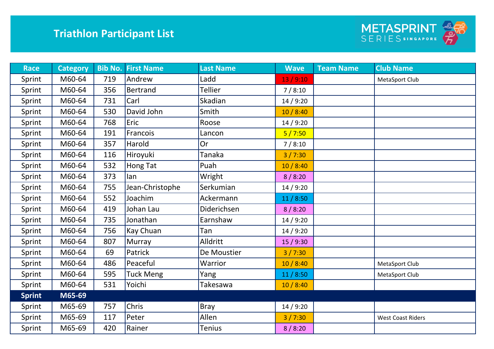

| <b>Race</b>   | <b>Category</b> |     | <b>Bib No. First Name</b> | <b>Last Name</b> | <b>Wave</b> | <b>Team Name</b> | <b>Club Name</b>         |
|---------------|-----------------|-----|---------------------------|------------------|-------------|------------------|--------------------------|
| Sprint        | M60-64          | 719 | Andrew                    | Ladd             | 13/9:10     |                  | MetaSport Club           |
| Sprint        | M60-64          | 356 | <b>Bertrand</b>           | <b>Tellier</b>   | 7/8:10      |                  |                          |
| Sprint        | M60-64          | 731 | Carl                      | Skadian          | 14/9:20     |                  |                          |
| Sprint        | M60-64          | 530 | David John                | Smith            | 10/8:40     |                  |                          |
| Sprint        | M60-64          | 768 | Eric                      | Roose            | 14/9:20     |                  |                          |
| Sprint        | M60-64          | 191 | Francois                  | Lancon           | 5/7:50      |                  |                          |
| Sprint        | M60-64          | 357 | Harold                    | <b>Or</b>        | 7/8:10      |                  |                          |
| Sprint        | M60-64          | 116 | Hiroyuki                  | <b>Tanaka</b>    | 3/7:30      |                  |                          |
| Sprint        | M60-64          | 532 | Hong Tat                  | Puah             | 10/8:40     |                  |                          |
| Sprint        | M60-64          | 373 | lan                       | Wright           | 8/8:20      |                  |                          |
| Sprint        | M60-64          | 755 | Jean-Christophe           | Serkumian        | 14/9:20     |                  |                          |
| Sprint        | M60-64          | 552 | Joachim                   | Ackermann        | 11/8:50     |                  |                          |
| Sprint        | M60-64          | 419 | Johan Lau                 | Diderichsen      | 8/8:20      |                  |                          |
| Sprint        | M60-64          | 735 | Jonathan                  | Earnshaw         | 14/9:20     |                  |                          |
| Sprint        | M60-64          | 756 | Kay Chuan                 | Tan              | 14/9:20     |                  |                          |
| Sprint        | M60-64          | 807 | Murray                    | Alldritt         | 15/9:30     |                  |                          |
| Sprint        | M60-64          | 69  | Patrick                   | De Moustier      | 3/7:30      |                  |                          |
| Sprint        | M60-64          | 486 | Peaceful                  | Warrior          | 10/8:40     |                  | MetaSport Club           |
| Sprint        | M60-64          | 595 | <b>Tuck Meng</b>          | Yang             | 11/8:50     |                  | MetaSport Club           |
| Sprint        | M60-64          | 531 | Yoichi                    | Takesawa         | 10/8:40     |                  |                          |
| <b>Sprint</b> | M65-69          |     |                           |                  |             |                  |                          |
| Sprint        | M65-69          | 757 | Chris                     | Bray             | 14/9:20     |                  |                          |
| Sprint        | M65-69          | 117 | Peter                     | Allen            | 3/7:30      |                  | <b>West Coast Riders</b> |
| Sprint        | M65-69          | 420 | Rainer                    | <b>Tenius</b>    | 8/8:20      |                  |                          |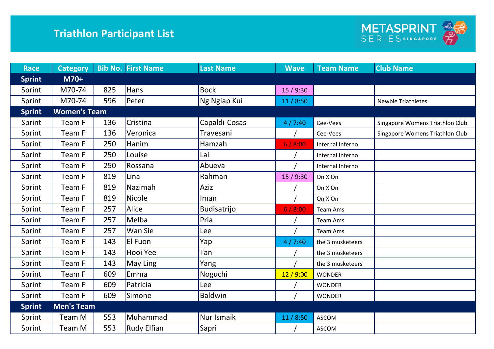

| <b>Race</b>   | <b>Category</b>     |     | <b>Bib No. First Name</b> | <b>Last Name</b>   | <b>Wave</b> | <b>Team Name</b> | <b>Club Name</b>                |
|---------------|---------------------|-----|---------------------------|--------------------|-------------|------------------|---------------------------------|
| <b>Sprint</b> | M70+                |     |                           |                    |             |                  |                                 |
| Sprint        | M70-74              | 825 | Hans                      | <b>Bock</b>        | 15/9:30     |                  |                                 |
| Sprint        | M70-74              | 596 | Peter                     | Ng Ngiap Kui       | 11/8:50     |                  | <b>Newbie Triathletes</b>       |
| <b>Sprint</b> | <b>Women's Team</b> |     |                           |                    |             |                  |                                 |
| Sprint        | Team F              | 136 | Cristina                  | Capaldi-Cosas      | 4/7:40      | Cee-Vees         | Singapore Womens Triathlon Club |
| Sprint        | Team F              | 136 | Veronica                  | Travesani          |             | Cee-Vees         | Singapore Womens Triathlon Club |
| Sprint        | Team F              | 250 | Hanim                     | Hamzah             | 6/8:00      | Internal Inferno |                                 |
| Sprint        | Team F              | 250 | Louise                    | Lai                |             | Internal Inferno |                                 |
| Sprint        | Team F              | 250 | Rossana                   | Abueva             |             | Internal Inferno |                                 |
| Sprint        | Team F              | 819 | Lina                      | Rahman             | 15/9:30     | On X On          |                                 |
| Sprint        | Team F              | 819 | Nazimah                   | Aziz               |             | On X On          |                                 |
| Sprint        | Team F              | 819 | <b>Nicole</b>             | lman               |             | On X On          |                                 |
| Sprint        | Team F              | 257 | Alice                     | <b>Budisatrijo</b> | 6/8:00      | <b>Team Ams</b>  |                                 |
| Sprint        | Team F              | 257 | Melba                     | Pria               |             | <b>Team Ams</b>  |                                 |
| Sprint        | Team F              | 257 | Wan Sie                   | Lee                |             | Team Ams         |                                 |
| Sprint        | Team F              | 143 | El Fuon                   | Yap                | 4/7:40      | the 3 musketeers |                                 |
| Sprint        | Team F              | 143 | Hooi Yee                  | Tan                |             | the 3 musketeers |                                 |
| Sprint        | Team F              | 143 | May Ling                  | Yang               |             | the 3 musketeers |                                 |
| Sprint        | Team F              | 609 | Emma                      | Noguchi            | 12/9:00     | <b>WONDER</b>    |                                 |
| Sprint        | Team F              | 609 | Patricia                  | Lee                |             | <b>WONDER</b>    |                                 |
| Sprint        | Team F              | 609 | Simone                    | <b>Baldwin</b>     |             | <b>WONDER</b>    |                                 |
| <b>Sprint</b> | <b>Men's Team</b>   |     |                           |                    |             |                  |                                 |
| Sprint        | Team M              | 553 | Muhammad                  | Nur Ismaik         | 11/8:50     | <b>ASCOM</b>     |                                 |
| Sprint        | Team M              | 553 | <b>Rudy Elfian</b>        | Sapri              |             | <b>ASCOM</b>     |                                 |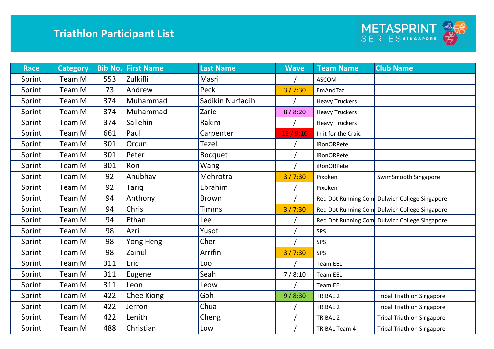

| <b>Race</b> | <b>Category</b> |     | <b>Bib No. First Name</b> | <b>Last Name</b> | <b>Wave</b> | <b>Team Name</b>      | <b>Club Name</b>                  |
|-------------|-----------------|-----|---------------------------|------------------|-------------|-----------------------|-----------------------------------|
| Sprint      | Team M          | 553 | Zulkifli                  | Masri            |             | <b>ASCOM</b>          |                                   |
| Sprint      | Team M          | 73  | Andrew                    | Peck             | 3/7:30      | EmAndTaz              |                                   |
| Sprint      | Team M          | 374 | Muhammad                  | Sadikin Nurfaqih |             | <b>Heavy Truckers</b> |                                   |
| Sprint      | Team M          | 374 | Muhammad                  | Zarie            | 8/8:20      | <b>Heavy Truckers</b> |                                   |
| Sprint      | Team M          | 374 | Sallehin                  | Rakim            |             | <b>Heavy Truckers</b> |                                   |
| Sprint      | Team M          | 661 | Paul                      | Carpenter        | 13/9:10     | In it for the Craic   |                                   |
| Sprint      | Team M          | 301 | Orcun                     | <b>Tezel</b>     |             | <b>iRonORPete</b>     |                                   |
| Sprint      | Team M          | 301 | Peter                     | <b>Bocquet</b>   |             | <b>iRonORPete</b>     |                                   |
| Sprint      | Team M          | 301 | Ron                       | Wang             |             | <b>iRonORPete</b>     |                                   |
| Sprint      | Team M          | 92  | Anubhav                   | Mehrotra         | 3/7:30      | Pixoken               | SwimSmooth Singapore              |
| Sprint      | Team M          | 92  | Tariq                     | Ebrahim          |             | Pixoken               |                                   |
| Sprint      | Team M          | 94  | Anthony                   | <b>Brown</b>     |             | Red Dot Running Com   | Dulwich College Singapore         |
| Sprint      | Team M          | 94  | Chris                     | <b>Timms</b>     | 3/7:30      | Red Dot Running Com   | <b>Dulwich College Singapore</b>  |
| Sprint      | Team M          | 94  | Ethan                     | Lee              |             | Red Dot Running Com   | Dulwich College Singapore         |
| Sprint      | Team M          | 98  | Azri                      | Yusof            |             | SPS                   |                                   |
| Sprint      | Team M          | 98  | Yong Heng                 | Cher             |             | SPS                   |                                   |
| Sprint      | Team M          | 98  | Zainul                    | Arrifin          | 3/7:30      | SPS                   |                                   |
| Sprint      | Team M          | 311 | Eric                      | Loo              |             | <b>Team EEL</b>       |                                   |
| Sprint      | Team M          | 311 | Eugene                    | Seah             | 7/8:10      | <b>Team EEL</b>       |                                   |
| Sprint      | Team M          | 311 | Leon                      | Leow             |             | <b>Team EEL</b>       |                                   |
| Sprint      | Team M          | 422 | Chee Kiong                | Goh              | 9/8:30      | <b>TRIBAL 2</b>       | <b>Tribal Triathlon Singapore</b> |
| Sprint      | Team M          | 422 | Jerron                    | Chua             |             | <b>TRIBAL 2</b>       | <b>Tribal Triathlon Singapore</b> |
| Sprint      | Team M          | 422 | Lenith                    | Cheng            |             | <b>TRIBAL 2</b>       | <b>Tribal Triathlon Singapore</b> |
| Sprint      | Team M          | 488 | Christian                 | Low              |             | <b>TRIBAL Team 4</b>  | <b>Tribal Triathlon Singapore</b> |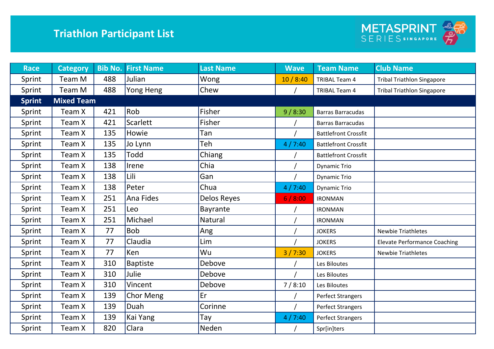

| <b>Race</b>   | <b>Category</b>   | <b>Bib No.</b> | <b>First Name</b> | <b>Last Name</b> | <b>Wave</b> | <b>Team Name</b>            | <b>Club Name</b>                    |
|---------------|-------------------|----------------|-------------------|------------------|-------------|-----------------------------|-------------------------------------|
| Sprint        | Team M            | 488            | Julian            | Wong             | 10/8:40     | <b>TRIBAL Team 4</b>        | <b>Tribal Triathlon Singapore</b>   |
| Sprint        | Team M            | 488            | Yong Heng         | Chew             |             | <b>TRIBAL Team 4</b>        | <b>Tribal Triathlon Singapore</b>   |
| <b>Sprint</b> | <b>Mixed Team</b> |                |                   |                  |             |                             |                                     |
| Sprint        | Team X            | 421            | Rob               | Fisher           | 9/8:30      | <b>Barras Barracudas</b>    |                                     |
| Sprint        | Team X            | 421            | Scarlett          | Fisher           |             | <b>Barras Barracudas</b>    |                                     |
| Sprint        | Team X            | 135            | Howie             | Tan              |             | <b>Battlefront Crossfit</b> |                                     |
| Sprint        | Team X            | 135            | Jo Lynn           | Teh              | 4/7:40      | <b>Battlefront Crossfit</b> |                                     |
| Sprint        | Team X            | 135            | Todd              | Chiang           |             | <b>Battlefront Crossfit</b> |                                     |
| Sprint        | Team X            | 138            | Irene             | Chia             |             | <b>Dynamic Trio</b>         |                                     |
| Sprint        | Team X            | 138            | Lili              | Gan              |             | <b>Dynamic Trio</b>         |                                     |
| Sprint        | Team X            | 138            | Peter             | Chua             | 4/7:40      | <b>Dynamic Trio</b>         |                                     |
| Sprint        | Team X            | 251            | Ana Fides         | Delos Reyes      | 6/8:00      | <b>IRONMAN</b>              |                                     |
| Sprint        | Team X            | 251            | Leo               | Bayrante         |             | <b>IRONMAN</b>              |                                     |
| Sprint        | Team X            | 251            | Michael           | <b>Natural</b>   |             | <b>IRONMAN</b>              |                                     |
| Sprint        | Team X            | 77             | <b>Bob</b>        | Ang              |             | <b>JOKERS</b>               | <b>Newbie Triathletes</b>           |
| Sprint        | Team X            | 77             | Claudia           | Lim              |             | <b>JOKERS</b>               | <b>Elevate Performance Coaching</b> |
| Sprint        | Team X            | 77             | Ken               | Wu               | 3/7:30      | <b>JOKERS</b>               | <b>Newbie Triathletes</b>           |
| Sprint        | Team X            | 310            | <b>Baptiste</b>   | Debove           |             | Les Biloutes                |                                     |
| Sprint        | Team X            | 310            | Julie             | Debove           |             | Les Biloutes                |                                     |
| Sprint        | Team X            | 310            | Vincent           | Debove           | 7/8:10      | Les Biloutes                |                                     |
| Sprint        | Team X            | 139            | <b>Chor Meng</b>  | Er               |             | <b>Perfect Strangers</b>    |                                     |
| Sprint        | Team X            | 139            | Duah              | Corinne          |             | <b>Perfect Strangers</b>    |                                     |
| Sprint        | Team X            | 139            | Kai Yang          | Tay              | 4/7:40      | <b>Perfect Strangers</b>    |                                     |
| Sprint        | Team X            | 820            | Clara             | Neden            |             | Spr[in]ters                 |                                     |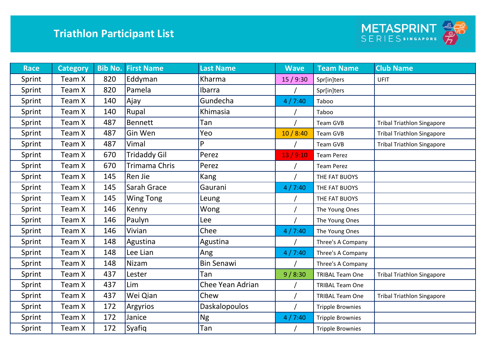

| <b>Race</b> | <b>Category</b> | <b>Bib No.</b> | <b>First Name</b>   | <b>Last Name</b>        | <b>Wave</b> | <b>Team Name</b>        | <b>Club Name</b>                  |
|-------------|-----------------|----------------|---------------------|-------------------------|-------------|-------------------------|-----------------------------------|
| Sprint      | Team X          | 820            | Eddyman             | Kharma                  | 15 / 9:30   | Spr[in]ters             | UFIT                              |
| Sprint      | Team X          | 820            | Pamela              | Ibarra                  |             | Spr[in]ters             |                                   |
| Sprint      | Team X          | 140            | Ajay                | Gundecha                | 4/7:40      | Taboo                   |                                   |
| Sprint      | Team X          | 140            | Rupal               | Khimasia                |             | Taboo                   |                                   |
| Sprint      | Team X          | 487            | <b>Bennett</b>      | Tan                     |             | <b>Team GVB</b>         | <b>Tribal Triathlon Singapore</b> |
| Sprint      | Team X          | 487            | Gin Wen             | Yeo                     | 10/8:40     | <b>Team GVB</b>         | <b>Tribal Triathlon Singapore</b> |
| Sprint      | Team X          | 487            | Vimal               | D                       |             | Team GVB                | <b>Tribal Triathlon Singapore</b> |
| Sprint      | Team X          | 670            | <b>Tridaddy Gil</b> | Perez                   | 13/9:10     | <b>Team Perez</b>       |                                   |
| Sprint      | Team X          | 670            | Trimama Chris       | Perez                   |             | <b>Team Perez</b>       |                                   |
| Sprint      | Team X          | 145            | Ren Jie             | Kang                    |             | THE FAT BUOYS           |                                   |
| Sprint      | Team X          | 145            | Sarah Grace         | Gaurani                 | 4/7:40      | THE FAT BUOYS           |                                   |
| Sprint      | Team X          | 145            | <b>Wing Tong</b>    | Leung                   |             | THE FAT BUOYS           |                                   |
| Sprint      | Team X          | 146            | Kenny               | Wong                    |             | The Young Ones          |                                   |
| Sprint      | Team X          | 146            | Paulyn              | Lee                     |             | The Young Ones          |                                   |
| Sprint      | Team X          | 146            | Vivian              | Chee                    | 4/7:40      | The Young Ones          |                                   |
| Sprint      | Team X          | 148            | Agustina            | Agustina                |             | Three's A Company       |                                   |
| Sprint      | Team X          | 148            | Lee Lian            | Ang                     | 4/7:40      | Three's A Company       |                                   |
| Sprint      | Team X          | 148            | <b>Nizam</b>        | <b>Bin Senawi</b>       |             | Three's A Company       |                                   |
| Sprint      | Team X          | 437            | Lester              | Tan                     | 9/8:30      | <b>TRIBAL Team One</b>  | <b>Tribal Triathlon Singapore</b> |
| Sprint      | Team X          | 437            | Lim                 | <b>Chee Yean Adrian</b> |             | <b>TRIBAL Team One</b>  |                                   |
| Sprint      | Team X          | 437            | Wei Qian            | Chew                    |             | <b>TRIBAL Team One</b>  | <b>Tribal Triathlon Singapore</b> |
| Sprint      | Team X          | 172            | Argyrios            | <b>Daskalopoulos</b>    |             | <b>Tripple Brownies</b> |                                   |
| Sprint      | Team X          | 172            | Janice              | <b>Ng</b>               | 4/7:40      | <b>Tripple Brownies</b> |                                   |
| Sprint      | Team X          | 172            | Syafiq              | Tan                     |             | <b>Tripple Brownies</b> |                                   |